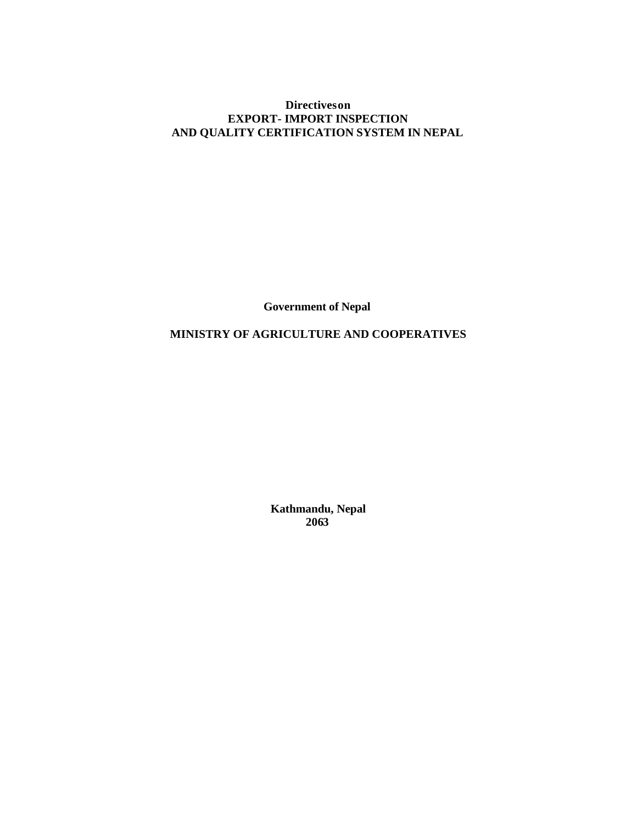# **Directives on EXPORT- IMPORT INSPECTION AND QUALITY CERTIFICATION SYSTEM IN NEPAL**

**Government of Nepal**

# **MINISTRY OF AGRICULTURE AND COOPERATIVES**

**Kathmandu, Nepal 2063**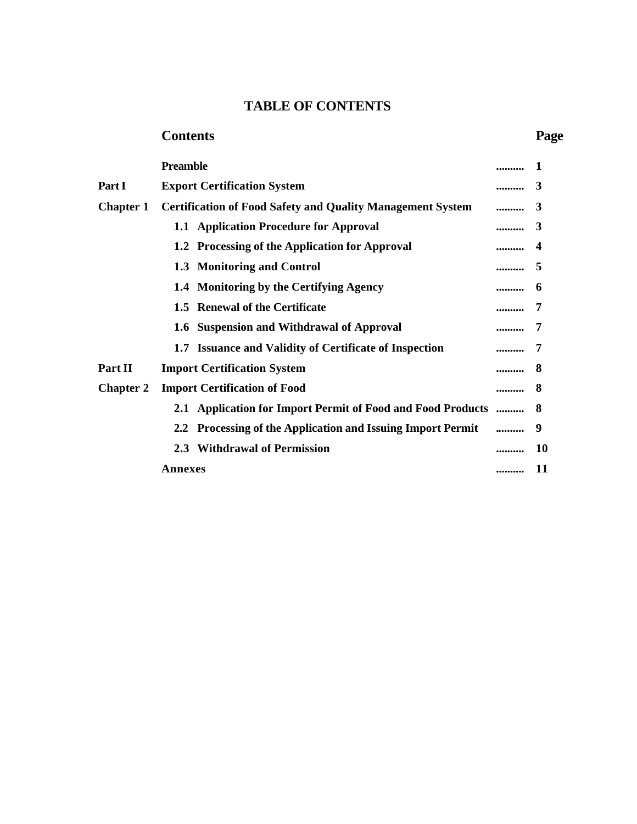# **TABLE OF CONTENTS**

# **Contents Page**

|                  | <b>Preamble</b>                                                   |               |
|------------------|-------------------------------------------------------------------|---------------|
| Part I           | <b>Export Certification System</b>                                | <br>3         |
| <b>Chapter 1</b> | <b>Certification of Food Safety and Quality Management System</b> | <br>3         |
|                  | 1.1 Application Procedure for Approval                            | <br>3         |
|                  | 1.2 Processing of the Application for Approval                    | <br>4         |
|                  | 1.3 Monitoring and Control                                        | <br>5         |
|                  | 1.4 Monitoring by the Certifying Agency                           | <br>6         |
|                  | 1.5 Renewal of the Certificate                                    |               |
|                  | 1.6 Suspension and Withdrawal of Approval                         |               |
|                  | 1.7 Issuance and Validity of Certificate of Inspection            |               |
| Part II          | <b>Import Certification System</b>                                | <br>8         |
| <b>Chapter 2</b> | <b>Import Certification of Food</b>                               | <br>8         |
|                  | 2.1 Application for Import Permit of Food and Food Products       | <br>8         |
|                  | 2.2 Processing of the Application and Issuing Import Permit       | 9             |
|                  | 2.3 Withdrawal of Permission                                      | <br><b>10</b> |
|                  | <b>Annexes</b>                                                    | <br>11        |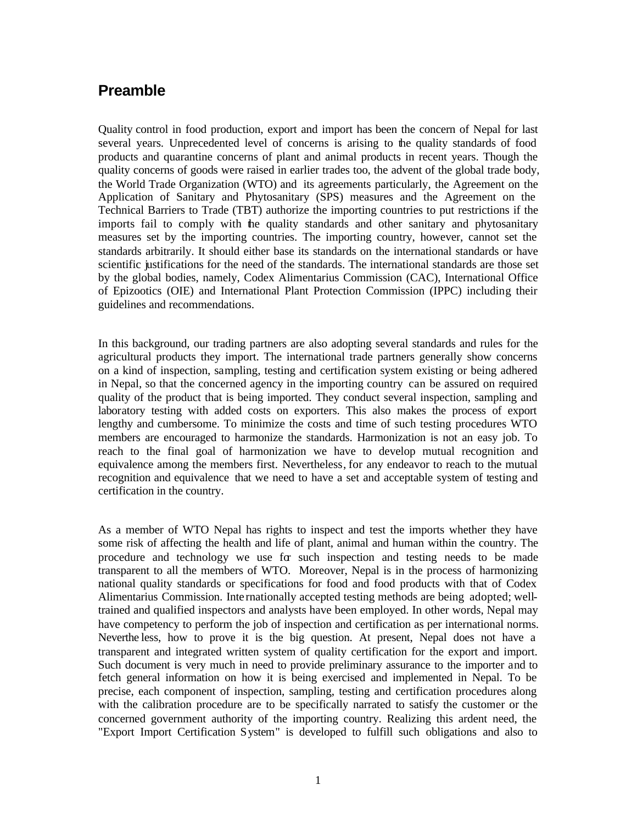# **Preamble**

Quality control in food production, export and import has been the concern of Nepal for last several years. Unprecedented level of concerns is arising to the quality standards of food products and quarantine concerns of plant and animal products in recent years. Though the quality concerns of goods were raised in earlier trades too, the advent of the global trade body, the World Trade Organization (WTO) and its agreements particularly, the Agreement on the Application of Sanitary and Phytosanitary (SPS) measures and the Agreement on the Technical Barriers to Trade (TBT) authorize the importing countries to put restrictions if the imports fail to comply with the quality standards and other sanitary and phytosanitary measures set by the importing countries. The importing country, however, cannot set the standards arbitrarily. It should either base its standards on the international standards or have scientific justifications for the need of the standards. The international standards are those set by the global bodies, namely, Codex Alimentarius Commission (CAC), International Office of Epizootics (OIE) and International Plant Protection Commission (IPPC) including their guidelines and recommendations.

In this background, our trading partners are also adopting several standards and rules for the agricultural products they import. The international trade partners generally show concerns on a kind of inspection, sampling, testing and certification system existing or being adhered in Nepal, so that the concerned agency in the importing country can be assured on required quality of the product that is being imported. They conduct several inspection, sampling and laboratory testing with added costs on exporters. This also makes the process of export lengthy and cumbersome. To minimize the costs and time of such testing procedures WTO members are encouraged to harmonize the standards. Harmonization is not an easy job. To reach to the final goal of harmonization we have to develop mutual recognition and equivalence among the members first. Nevertheless, for any endeavor to reach to the mutual recognition and equivalence that we need to have a set and acceptable system of testing and certification in the country.

As a member of WTO Nepal has rights to inspect and test the imports whether they have some risk of affecting the health and life of plant, animal and human within the country. The procedure and technology we use for such inspection and testing needs to be made transparent to all the members of WTO. Moreover, Nepal is in the process of harmonizing national quality standards or specifications for food and food products with that of Codex Alimentarius Commission. Inte rnationally accepted testing methods are being adopted; welltrained and qualified inspectors and analysts have been employed. In other words, Nepal may have competency to perform the job of inspection and certification as per international norms. Neverthe less, how to prove it is the big question. At present, Nepal does not have a transparent and integrated written system of quality certification for the export and import. Such document is very much in need to provide preliminary assurance to the importer and to fetch general information on how it is being exercised and implemented in Nepal. To be precise, each component of inspection, sampling, testing and certification procedures along with the calibration procedure are to be specifically narrated to satisfy the customer or the concerned government authority of the importing country. Realizing this ardent need, the "Export Import Certification System" is developed to fulfill such obligations and also to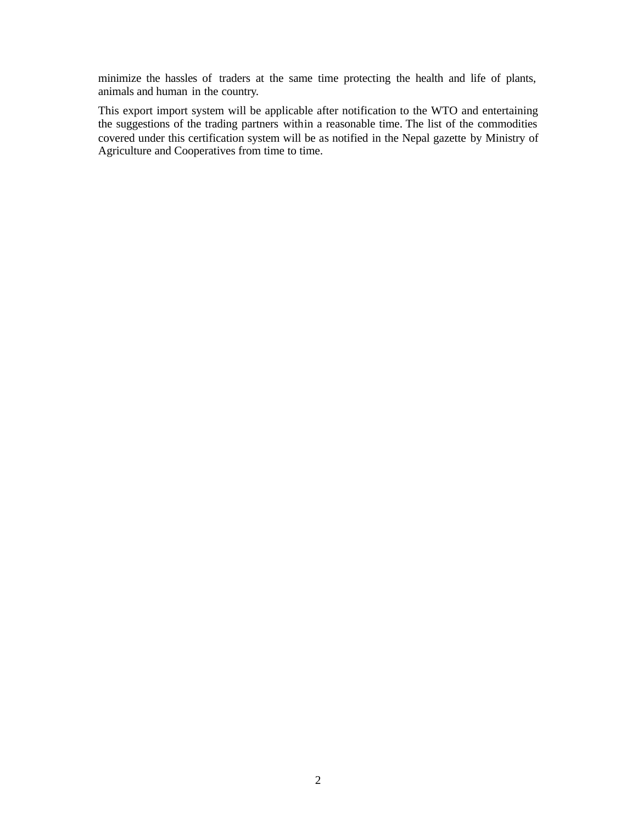minimize the hassles of traders at the same time protecting the health and life of plants, animals and human in the country.

This export import system will be applicable after notification to the WTO and entertaining the suggestions of the trading partners within a reasonable time. The list of the commodities covered under this certification system will be as notified in the Nepal gazette by Ministry of Agriculture and Cooperatives from time to time.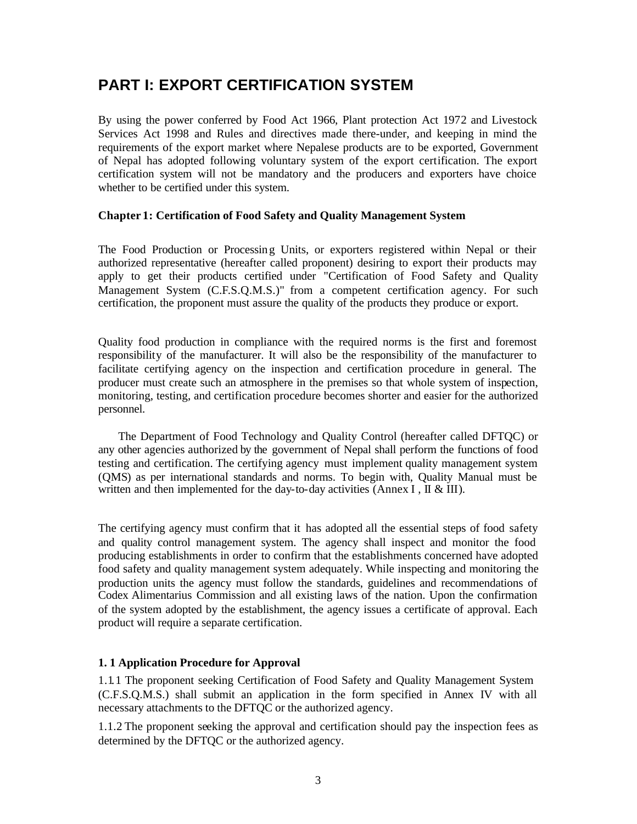# **PART I: EXPORT CERTIFICATION SYSTEM**

By using the power conferred by Food Act 1966, Plant protection Act 1972 and Livestock Services Act 1998 and Rules and directives made there-under, and keeping in mind the requirements of the export market where Nepalese products are to be exported, Government of Nepal has adopted following voluntary system of the export certification. The export certification system will not be mandatory and the producers and exporters have choice whether to be certified under this system.

### **Chapter 1: Certification of Food Safety and Quality Management System**

The Food Production or Processing Units, or exporters registered within Nepal or their authorized representative (hereafter called proponent) desiring to export their products may apply to get their products certified under "Certification of Food Safety and Quality Management System (C.F.S.Q.M.S.)" from a competent certification agency. For such certification, the proponent must assure the quality of the products they produce or export.

Quality food production in compliance with the required norms is the first and foremost responsibility of the manufacturer. It will also be the responsibility of the manufacturer to facilitate certifying agency on the inspection and certification procedure in general. The producer must create such an atmosphere in the premises so that whole system of inspection, monitoring, testing, and certification procedure becomes shorter and easier for the authorized personnel.

 The Department of Food Technology and Quality Control (hereafter called DFTQC) or any other agencies authorized by the government of Nepal shall perform the functions of food testing and certification. The certifying agency must implement quality management system (QMS) as per international standards and norms. To begin with, Quality Manual must be written and then implemented for the day-to-day activities (Annex I,  $\mathbb{I} \& \mathbb{II}$ ).

The certifying agency must confirm that it has adopted all the essential steps of food safety and quality control management system. The agency shall inspect and monitor the food producing establishments in order to confirm that the establishments concerned have adopted food safety and quality management system adequately. While inspecting and monitoring the production units the agency must follow the standards, guidelines and recommendations of Codex Alimentarius Commission and all existing laws of the nation. Upon the confirmation of the system adopted by the establishment, the agency issues a certificate of approval. Each product will require a separate certification.

### **1. 1 Application Procedure for Approval**

1.1.1 The proponent seeking Certification of Food Safety and Quality Management System (C.F.S.Q.M.S.) shall submit an application in the form specified in Annex IV with all necessary attachments to the DFTQC or the authorized agency.

1.1.2 The proponent seeking the approval and certification should pay the inspection fees as determined by the DFTQC or the authorized agency.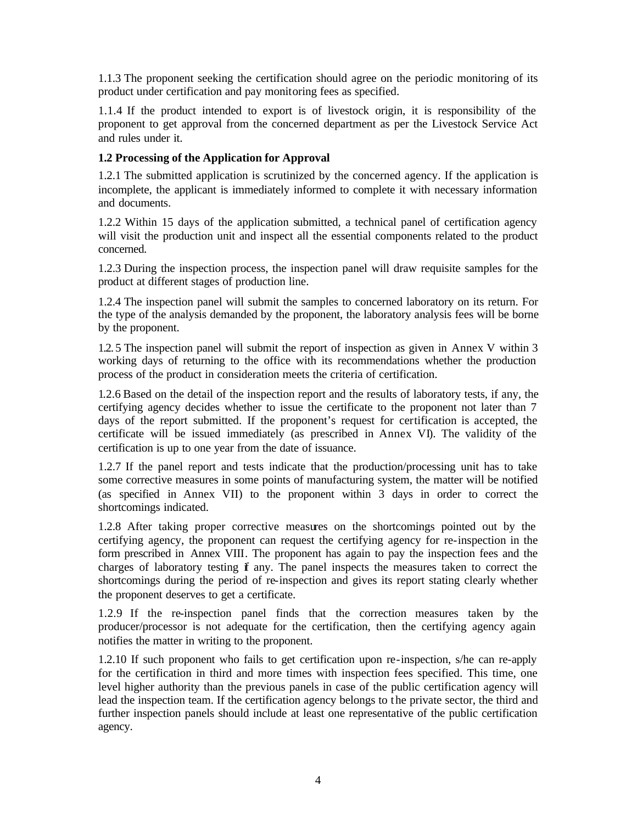1.1.3 The proponent seeking the certification should agree on the periodic monitoring of its product under certification and pay monitoring fees as specified.

1.1.4 If the product intended to export is of livestock origin, it is responsibility of the proponent to get approval from the concerned department as per the Livestock Service Act and rules under it.

# **1.2 Processing of the Application for Approval**

1.2.1 The submitted application is scrutinized by the concerned agency. If the application is incomplete, the applicant is immediately informed to complete it with necessary information and documents.

1.2.2 Within 15 days of the application submitted, a technical panel of certification agency will visit the production unit and inspect all the essential components related to the product concerned.

1.2.3 During the inspection process, the inspection panel will draw requisite samples for the product at different stages of production line.

1.2.4 The inspection panel will submit the samples to concerned laboratory on its return. For the type of the analysis demanded by the proponent, the laboratory analysis fees will be borne by the proponent.

1.2. 5 The inspection panel will submit the report of inspection as given in Annex V within 3 working days of returning to the office with its recommendations whether the production process of the product in consideration meets the criteria of certification.

1.2.6 Based on the detail of the inspection report and the results of laboratory tests, if any, the certifying agency decides whether to issue the certificate to the proponent not later than 7 days of the report submitted. If the proponent's request for certification is accepted, the certificate will be issued immediately (as prescribed in Annex VI). The validity of the certification is up to one year from the date of issuance.

1.2.7 If the panel report and tests indicate that the production/processing unit has to take some corrective measures in some points of manufacturing system, the matter will be notified (as specified in Annex VII) to the proponent within 3 days in order to correct the shortcomings indicated.

1.2.8 After taking proper corrective measures on the shortcomings pointed out by the certifying agency, the proponent can request the certifying agency for re-inspection in the form prescribed in Annex VIII. The proponent has again to pay the inspection fees and the charges of laboratory testing  $\hat{f}$  any. The panel inspects the measures taken to correct the shortcomings during the period of re-inspection and gives its report stating clearly whether the proponent deserves to get a certificate.

1.2.9 If the re-inspection panel finds that the correction measures taken by the producer/processor is not adequate for the certification, then the certifying agency again notifies the matter in writing to the proponent.

1.2.10 If such proponent who fails to get certification upon re-inspection, s/he can re-apply for the certification in third and more times with inspection fees specified. This time, one level higher authority than the previous panels in case of the public certification agency will lead the inspection team. If the certification agency belongs to t he private sector, the third and further inspection panels should include at least one representative of the public certification agency.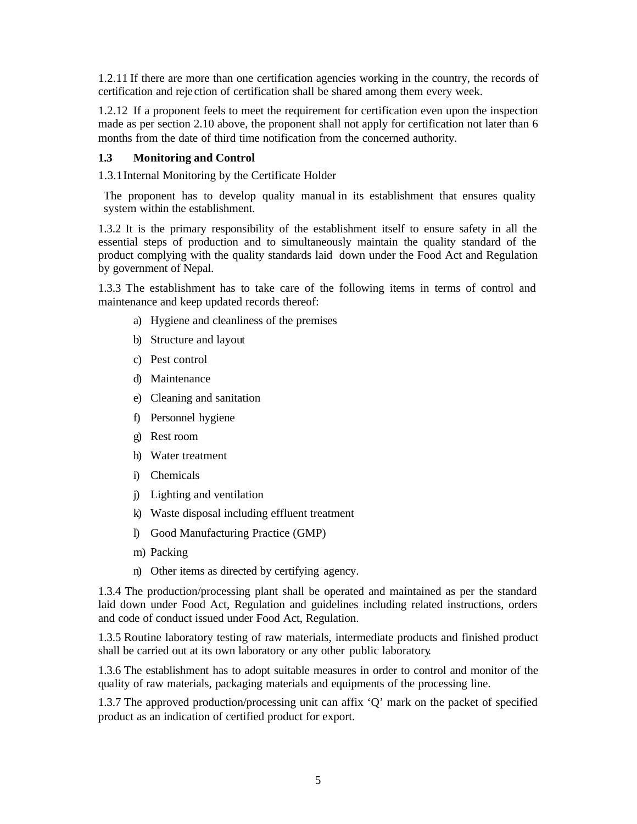1.2.11 If there are more than one certification agencies working in the country, the records of certification and reje ction of certification shall be shared among them every week.

1.2.12 If a proponent feels to meet the requirement for certification even upon the inspection made as per section 2.10 above, the proponent shall not apply for certification not later than 6 months from the date of third time notification from the concerned authority.

## **1.3 Monitoring and Control**

1.3.1Internal Monitoring by the Certificate Holder

The proponent has to develop quality manual in its establishment that ensures quality system within the establishment.

1.3.2 It is the primary responsibility of the establishment itself to ensure safety in all the essential steps of production and to simultaneously maintain the quality standard of the product complying with the quality standards laid down under the Food Act and Regulation by government of Nepal.

1.3.3 The establishment has to take care of the following items in terms of control and maintenance and keep updated records thereof:

- a) Hygiene and cleanliness of the premises
- b) Structure and layout
- c) Pest control
- d) Maintenance
- e) Cleaning and sanitation
- f) Personnel hygiene
- g) Rest room
- h) Water treatment
- i) Chemicals
- j) Lighting and ventilation
- k) Waste disposal including effluent treatment
- l) Good Manufacturing Practice (GMP)
- m) Packing
- n) Other items as directed by certifying agency.

1.3.4 The production/processing plant shall be operated and maintained as per the standard laid down under Food Act, Regulation and guidelines including related instructions, orders and code of conduct issued under Food Act, Regulation.

1.3.5 Routine laboratory testing of raw materials, intermediate products and finished product shall be carried out at its own laboratory or any other public laboratory.

1.3.6 The establishment has to adopt suitable measures in order to control and monitor of the quality of raw materials, packaging materials and equipments of the processing line.

1.3.7 The approved production/processing unit can affix 'Q' mark on the packet of specified product as an indication of certified product for export.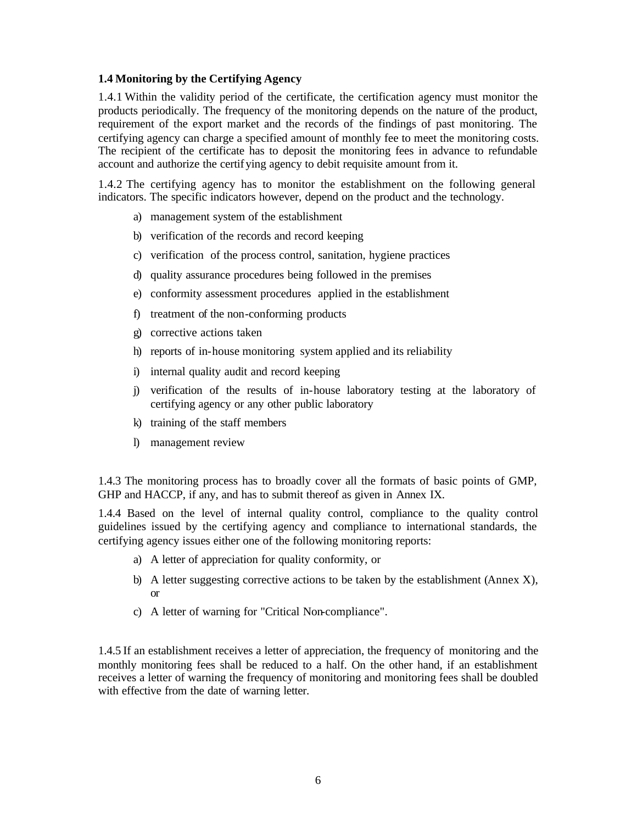### **1.4 Monitoring by the Certifying Agency**

1.4.1 Within the validity period of the certificate, the certification agency must monitor the products periodically. The frequency of the monitoring depends on the nature of the product, requirement of the export market and the records of the findings of past monitoring. The certifying agency can charge a specified amount of monthly fee to meet the monitoring costs. The recipient of the certificate has to deposit the monitoring fees in advance to refundable account and authorize the certifying agency to debit requisite amount from it.

1.4.2 The certifying agency has to monitor the establishment on the following general indicators. The specific indicators however, depend on the product and the technology.

- a) management system of the establishment
- b) verification of the records and record keeping
- c) verification of the process control, sanitation, hygiene practices
- d) quality assurance procedures being followed in the premises
- e) conformity assessment procedures applied in the establishment
- f) treatment of the non-conforming products
- g) corrective actions taken
- h) reports of in-house monitoring system applied and its reliability
- i) internal quality audit and record keeping
- j) verification of the results of in-house laboratory testing at the laboratory of certifying agency or any other public laboratory
- k) training of the staff members
- l) management review

1.4.3 The monitoring process has to broadly cover all the formats of basic points of GMP, GHP and HACCP, if any, and has to submit thereof as given in Annex IX.

1.4.4 Based on the level of internal quality control, compliance to the quality control guidelines issued by the certifying agency and compliance to international standards, the certifying agency issues either one of the following monitoring reports:

- a) A letter of appreciation for quality conformity, or
- b) A letter suggesting corrective actions to be taken by the establishment (Annex  $X$ ), or
- c) A letter of warning for "Critical Non-compliance".

1.4.5 If an establishment receives a letter of appreciation, the frequency of monitoring and the monthly monitoring fees shall be reduced to a half. On the other hand, if an establishment receives a letter of warning the frequency of monitoring and monitoring fees shall be doubled with effective from the date of warning letter.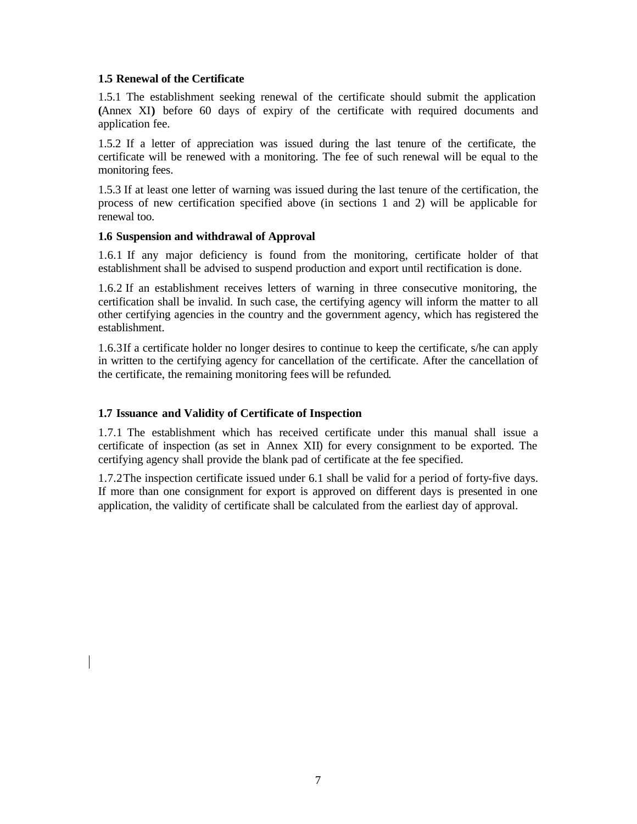### **1.5 Renewal of the Certificate**

1.5.1 The establishment seeking renewal of the certificate should submit the application **(**Annex XI**)** before 60 days of expiry of the certificate with required documents and application fee.

1.5.2 If a letter of appreciation was issued during the last tenure of the certificate, the certificate will be renewed with a monitoring. The fee of such renewal will be equal to the monitoring fees.

1.5.3 If at least one letter of warning was issued during the last tenure of the certification, the process of new certification specified above (in sections 1 and 2) will be applicable for renewal too.

### **1.6 Suspension and withdrawal of Approval**

1.6.1 If any major deficiency is found from the monitoring, certificate holder of that establishment shall be advised to suspend production and export until rectification is done.

1.6.2 If an establishment receives letters of warning in three consecutive monitoring, the certification shall be invalid. In such case, the certifying agency will inform the matter to all other certifying agencies in the country and the government agency, which has registered the establishment.

1.6.3If a certificate holder no longer desires to continue to keep the certificate, s/he can apply in written to the certifying agency for cancellation of the certificate. After the cancellation of the certificate, the remaining monitoring fees will be refunded.

### **1.7 Issuance and Validity of Certificate of Inspection**

1.7.1 The establishment which has received certificate under this manual shall issue a certificate of inspection (as set in Annex XII) for every consignment to be exported. The certifying agency shall provide the blank pad of certificate at the fee specified.

1.7.2The inspection certificate issued under 6.1 shall be valid for a period of forty-five days. If more than one consignment for export is approved on different days is presented in one application, the validity of certificate shall be calculated from the earliest day of approval.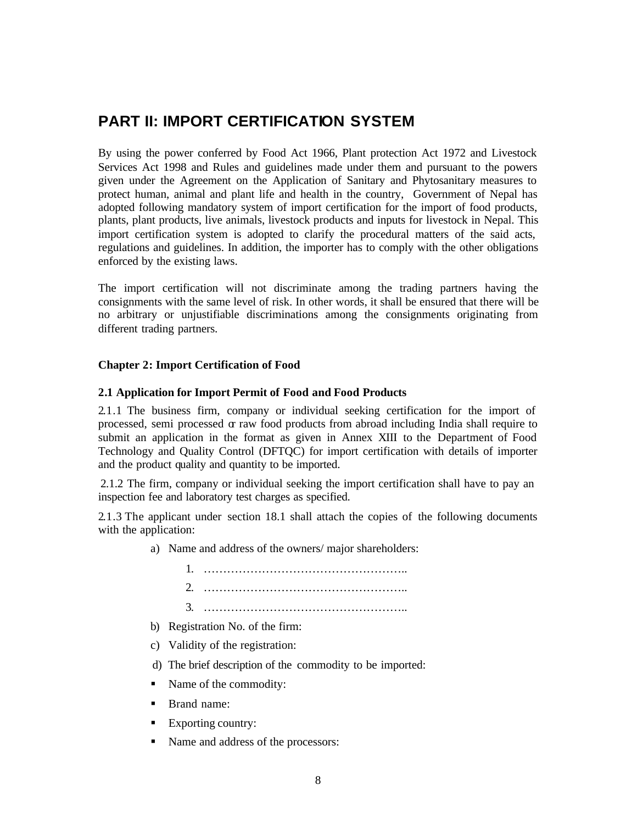# **PART II: IMPORT CERTIFICATION SYSTEM**

By using the power conferred by Food Act 1966, Plant protection Act 1972 and Livestock Services Act 1998 and Rules and guidelines made under them and pursuant to the powers given under the Agreement on the Application of Sanitary and Phytosanitary measures to protect human, animal and plant life and health in the country, Government of Nepal has adopted following mandatory system of import certification for the import of food products, plants, plant products, live animals, livestock products and inputs for livestock in Nepal. This import certification system is adopted to clarify the procedural matters of the said acts, regulations and guidelines. In addition, the importer has to comply with the other obligations enforced by the existing laws.

The import certification will not discriminate among the trading partners having the consignments with the same level of risk. In other words, it shall be ensured that there will be no arbitrary or unjustifiable discriminations among the consignments originating from different trading partners.

### **Chapter 2: Import Certification of Food**

### **2.1 Application for Import Permit of Food and Food Products**

2.1.1 The business firm, company or individual seeking certification for the import of processed, semi processed or raw food products from abroad including India shall require to submit an application in the format as given in Annex XIII to the Department of Food Technology and Quality Control (DFTQC) for import certification with details of importer and the product quality and quantity to be imported.

2.1.2 The firm, company or individual seeking the import certification shall have to pay an inspection fee and laboratory test charges as specified.

2.1.3 The applicant under section 18.1 shall attach the copies of the following documents with the application:

a) Name and address of the owners/ major shareholders:

1. …………………………………………….. 2. …………………………………………….. 3. ……………………………………………..

- b) Registration No. of the firm:
- c) Validity of the registration:
- d) The brief description of the commodity to be imported:
- Name of the commodity:
- **Brand name:**
- Exporting country:
- Name and address of the processors: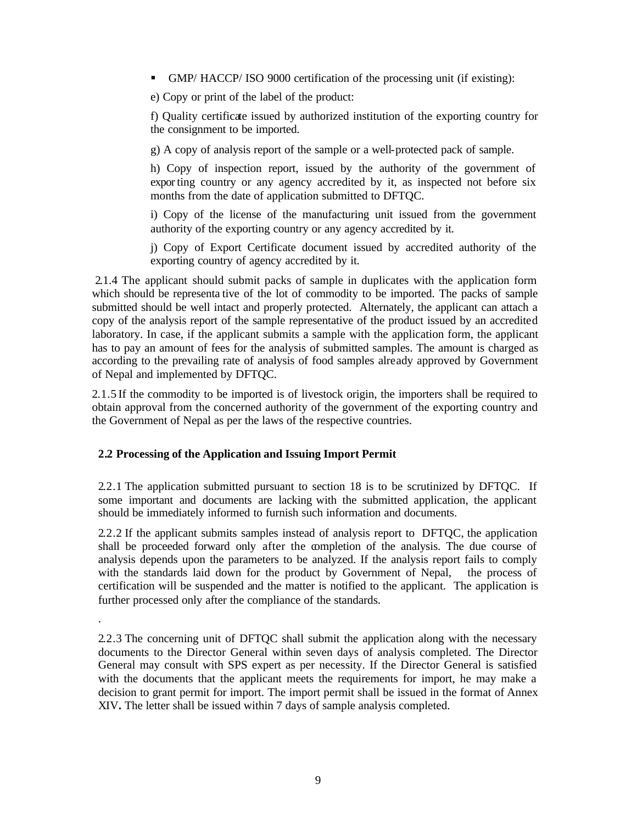ß GMP/ HACCP/ ISO 9000 certification of the processing unit (if existing):

e) Copy or print of the label of the product:

f) Quality certificate issued by authorized institution of the exporting country for the consignment to be imported.

g) A copy of analysis report of the sample or a well-protected pack of sample.

h) Copy of inspection report, issued by the authority of the government of exporting country or any agency accredited by it, as inspected not before six months from the date of application submitted to DFTQC.

i) Copy of the license of the manufacturing unit issued from the government authority of the exporting country or any agency accredited by it.

j) Copy of Export Certificate document issued by accredited authority of the exporting country of agency accredited by it.

2.1.4 The applicant should submit packs of sample in duplicates with the application form which should be representa tive of the lot of commodity to be imported. The packs of sample submitted should be well intact and properly protected. Alternately, the applicant can attach a copy of the analysis report of the sample representative of the product issued by an accredited laboratory. In case, if the applicant submits a sample with the application form, the applicant has to pay an amount of fees for the analysis of submitted samples. The amount is charged as according to the prevailing rate of analysis of food samples already approved by Government of Nepal and implemented by DFTQC.

2.1.5 If the commodity to be imported is of livestock origin, the importers shall be required to obtain approval from the concerned authority of the government of the exporting country and the Government of Nepal as per the laws of the respective countries.

# **2.2 Processing of the Application and Issuing Import Permit**

.

2.2.1 The application submitted pursuant to section 18 is to be scrutinized by DFTQC. If some important and documents are lacking with the submitted application, the applicant should be immediately informed to furnish such information and documents.

2.2.2 If the applicant submits samples instead of analysis report to DFTQC, the application shall be proceeded forward only after the completion of the analysis. The due course of analysis depends upon the parameters to be analyzed. If the analysis report fails to comply with the standards laid down for the product by Government of Nepal, the process of certification will be suspended and the matter is notified to the applicant. The application is further processed only after the compliance of the standards.

2.2.3 The concerning unit of DFTQC shall submit the application along with the necessary documents to the Director General within seven days of analysis completed. The Director General may consult with SPS expert as per necessity. If the Director General is satisfied with the documents that the applicant meets the requirements for import, he may make a decision to grant permit for import. The import permit shall be issued in the format of Annex XIV**.** The letter shall be issued within 7 days of sample analysis completed.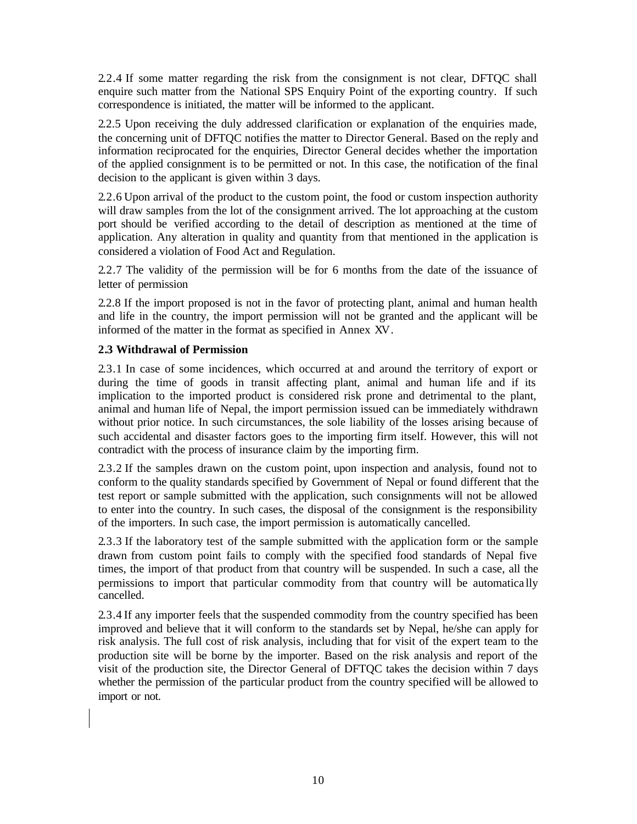2.2.4 If some matter regarding the risk from the consignment is not clear, DFTQC shall enquire such matter from the National SPS Enquiry Point of the exporting country. If such correspondence is initiated, the matter will be informed to the applicant.

2.2.5 Upon receiving the duly addressed clarification or explanation of the enquiries made, the concerning unit of DFTQC notifies the matter to Director General. Based on the reply and information reciprocated for the enquiries, Director General decides whether the importation of the applied consignment is to be permitted or not. In this case, the notification of the final decision to the applicant is given within 3 days.

2.2.6 Upon arrival of the product to the custom point, the food or custom inspection authority will draw samples from the lot of the consignment arrived. The lot approaching at the custom port should be verified according to the detail of description as mentioned at the time of application. Any alteration in quality and quantity from that mentioned in the application is considered a violation of Food Act and Regulation.

2.2.7 The validity of the permission will be for 6 months from the date of the issuance of letter of permission

2.2.8 If the import proposed is not in the favor of protecting plant, animal and human health and life in the country, the import permission will not be granted and the applicant will be informed of the matter in the format as specified in Annex XV.

# **2.3 Withdrawal of Permission**

2.3.1 In case of some incidences, which occurred at and around the territory of export or during the time of goods in transit affecting plant, animal and human life and if its implication to the imported product is considered risk prone and detrimental to the plant, animal and human life of Nepal, the import permission issued can be immediately withdrawn without prior notice. In such circumstances, the sole liability of the losses arising because of such accidental and disaster factors goes to the importing firm itself. However, this will not contradict with the process of insurance claim by the importing firm.

2.3.2 If the samples drawn on the custom point, upon inspection and analysis, found not to conform to the quality standards specified by Government of Nepal or found different that the test report or sample submitted with the application, such consignments will not be allowed to enter into the country. In such cases, the disposal of the consignment is the responsibility of the importers. In such case, the import permission is automatically cancelled.

2.3.3 If the laboratory test of the sample submitted with the application form or the sample drawn from custom point fails to comply with the specified food standards of Nepal five times, the import of that product from that country will be suspended. In such a case, all the permissions to import that particular commodity from that country will be automatica lly cancelled.

2.3.4 If any importer feels that the suspended commodity from the country specified has been improved and believe that it will conform to the standards set by Nepal, he/she can apply for risk analysis. The full cost of risk analysis, including that for visit of the expert team to the production site will be borne by the importer. Based on the risk analysis and report of the visit of the production site, the Director General of DFTQC takes the decision within 7 days whether the permission of the particular product from the country specified will be allowed to import or not.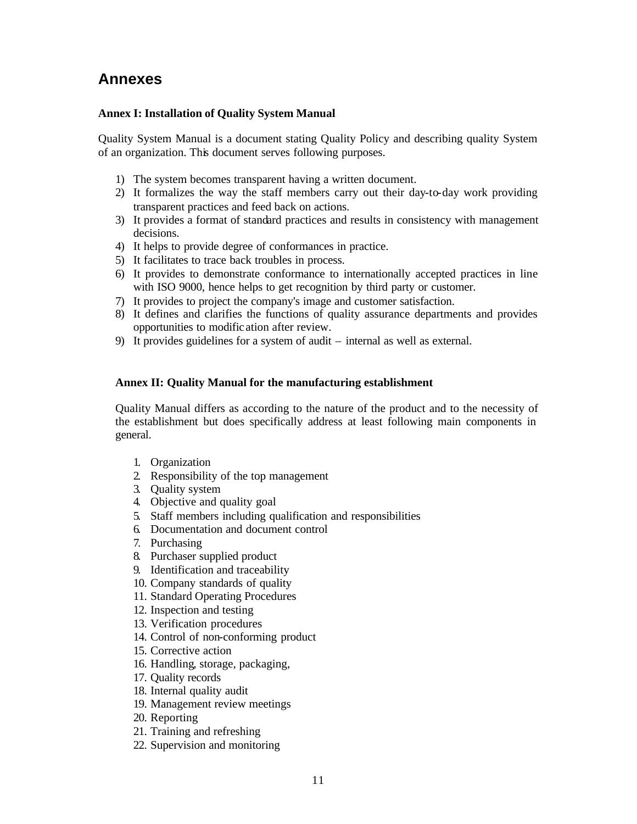# **Annexes**

## **Annex I: Installation of Quality System Manual**

Quality System Manual is a document stating Quality Policy and describing quality System of an organization. This document serves following purposes.

- 1) The system becomes transparent having a written document.
- 2) It formalizes the way the staff members carry out their day-to-day work providing transparent practices and feed back on actions.
- 3) It provides a format of standard practices and results in consistency with management decisions.
- 4) It helps to provide degree of conformances in practice.
- 5) It facilitates to trace back troubles in process.
- 6) It provides to demonstrate conformance to internationally accepted practices in line with ISO 9000, hence helps to get recognition by third party or customer.
- 7) It provides to project the company's image and customer satisfaction.
- 8) It defines and clarifies the functions of quality assurance departments and provides opportunities to modific ation after review.
- 9) It provides guidelines for a system of audit internal as well as external.

# **Annex II: Quality Manual for the manufacturing establishment**

Quality Manual differs as according to the nature of the product and to the necessity of the establishment but does specifically address at least following main components in general.

- 1. Organization
- 2. Responsibility of the top management
- 3. Quality system
- 4. Objective and quality goal
- 5. Staff members including qualification and responsibilities
- 6. Documentation and document control
- 7. Purchasing
- 8. Purchaser supplied product
- 9. Identification and traceability
- 10. Company standards of quality
- 11. Standard Operating Procedures
- 12. Inspection and testing
- 13. Verification procedures
- 14. Control of non-conforming product
- 15. Corrective action
- 16. Handling, storage, packaging,
- 17. Quality records
- 18. Internal quality audit
- 19. Management review meetings
- 20. Reporting
- 21. Training and refreshing
- 22. Supervision and monitoring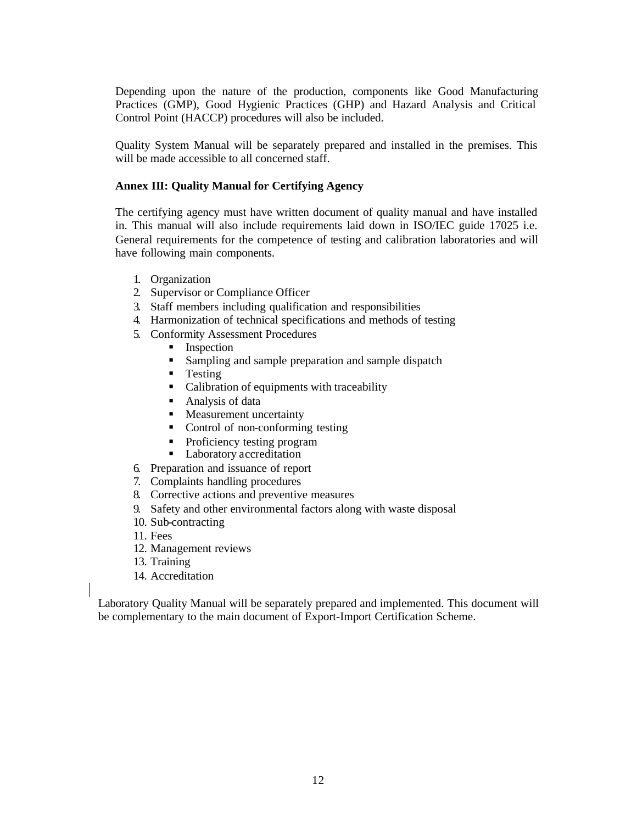Depending upon the nature of the production, components like Good Manufacturing Practices (GMP), Good Hygienic Practices (GHP) and Hazard Analysis and Critical Control Point (HACCP) procedures will also be included.

Quality System Manual will be separately prepared and installed in the premises. This will be made accessible to all concerned staff.

# **Annex III: Quality Manual for Certifying Agency**

The certifying agency must have written document of quality manual and have installed in. This manual will also include requirements laid down in ISO/IEC guide 17025 i.e. General requirements for the competence of testing and calibration laboratories and will have following main components.

- 1. Organization
- 2. Supervisor or Compliance Officer
- 3. Staff members including qualification and responsibilities
- 4. Harmonization of technical specifications and methods of testing
- 5. Conformity Assessment Procedures
	- **Inspection**
	- **Sampling and sample preparation and sample dispatch**
	- $\blacksquare$  Testing
	- Calibration of equipments with traceability
	- $\blacksquare$  Analysis of data
	- Measurement uncertainty
	- Control of non-conforming testing
	- Proficiency testing program
	- Laboratory accreditation
- 6. Preparation and issuance of report
- 7. Complaints handling procedures
- 8. Corrective actions and preventive measures
- 9. Safety and other environmental factors along with waste disposal
- 10. Sub-contracting
- 11. Fees
- 12. Management reviews
- 13. Training
- 14. Accreditation

Laboratory Quality Manual will be separately prepared and implemented. This document will be complementary to the main document of Export-Import Certification Scheme.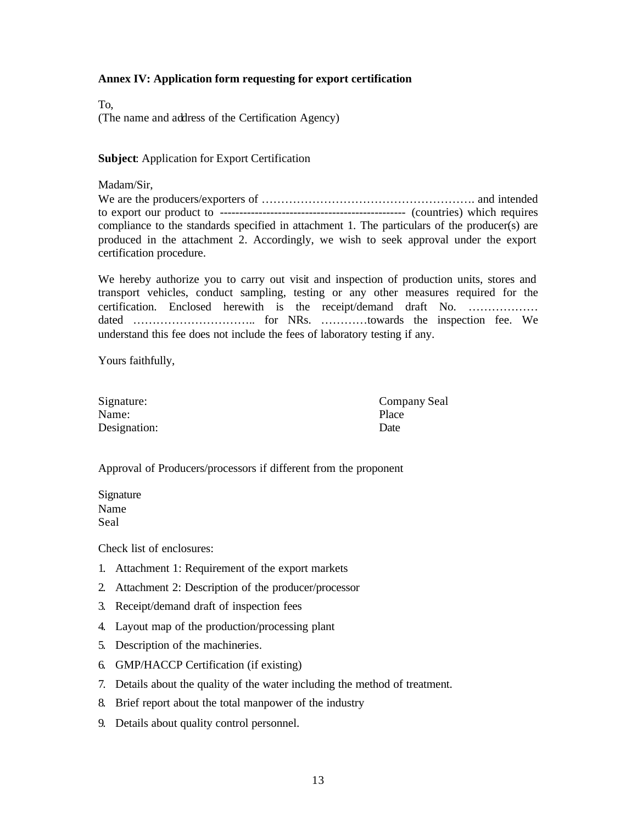### **Annex IV: Application form requesting for export certification**

To, (The name and address of the Certification Agency)

**Subject**: Application for Export Certification

#### Madam/Sir,

We are the producers/exporters of ………………………………………………. and intended to export our product to ------------------------------------------------ (countries) which requires compliance to the standards specified in attachment 1. The particulars of the producer(s) are produced in the attachment 2. Accordingly, we wish to seek approval under the export certification procedure.

We hereby authorize you to carry out visit and inspection of production units, stores and transport vehicles, conduct sampling, testing or any other measures required for the certification. Enclosed herewith is the receipt/demand draft No. ……………… dated ………………………….. for NRs. …………towards the inspection fee. We understand this fee does not include the fees of laboratory testing if any.

Yours faithfully,

| Signature:   | Company Seal |
|--------------|--------------|
| Name:        | Place        |
| Designation: | Date         |

### Approval of Producers/processors if different from the proponent

| Signature |  |
|-----------|--|
| Name      |  |
| Seal      |  |

Check list of enclosures:

- 1. Attachment 1: Requirement of the export markets
- 2. Attachment 2: Description of the producer/processor
- 3. Receipt/demand draft of inspection fees
- 4. Layout map of the production/processing plant
- 5. Description of the machineries.
- 6. GMP/HACCP Certification (if existing)
- 7. Details about the quality of the water including the method of treatment.
- 8. Brief report about the total manpower of the industry
- 9. Details about quality control personnel.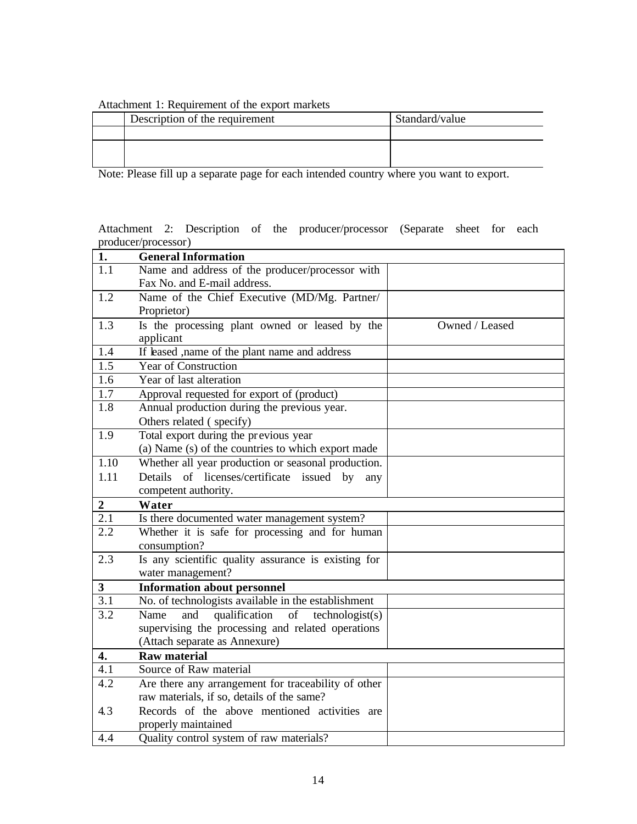# Attachment 1: Requirement of the export markets

| Description of the requirement | Standard/value |
|--------------------------------|----------------|
|                                |                |
|                                |                |
|                                |                |

Note: Please fill up a separate page for each intended country where you want to export.

|                     |  |  | Attachment 2: Description of the producer/processor (Separate sheet for each |  |  |
|---------------------|--|--|------------------------------------------------------------------------------|--|--|
| producer/processor) |  |  |                                                                              |  |  |

| 1.                      | <b>General Information</b>                                               |                |
|-------------------------|--------------------------------------------------------------------------|----------------|
| 1.1                     | Name and address of the producer/processor with                          |                |
|                         | Fax No. and E-mail address.                                              |                |
| $\overline{1.2}$        | Name of the Chief Executive (MD/Mg. Partner/                             |                |
|                         | Proprietor)                                                              |                |
| 1.3                     | Is the processing plant owned or leased by the<br>applicant              | Owned / Leased |
| 1.4                     | If leased , name of the plant name and address                           |                |
| 1.5                     | Year of Construction                                                     |                |
| 1.6                     | Year of last alteration                                                  |                |
| $\overline{1.7}$        | Approval requested for export of (product)                               |                |
| 1.8                     | Annual production during the previous year.<br>Others related (specify)  |                |
| $\overline{1.9}$        | Total export during the previous year                                    |                |
|                         | (a) Name (s) of the countries to which export made                       |                |
| 1.10                    | Whether all year production or seasonal production.                      |                |
| 1.11                    | Details of licenses/certificate issued by<br>any                         |                |
|                         | competent authority.                                                     |                |
|                         |                                                                          |                |
| $\boldsymbol{2}$        | Water                                                                    |                |
| $\overline{2.1}$        | Is there documented water management system?                             |                |
| 2.2                     | Whether it is safe for processing and for human<br>consumption?          |                |
| 2.3                     | Is any scientific quality assurance is existing for<br>water management? |                |
| $\overline{\mathbf{3}}$ | <b>Information about personnel</b>                                       |                |
| $\overline{3.1}$        | No. of technologists available in the establishment                      |                |
| 3.2                     | qualification of technologist(s)<br>Name<br>and                          |                |
|                         | supervising the processing and related operations                        |                |
|                         | (Attach separate as Annexure)                                            |                |
| 4.                      | <b>Raw material</b>                                                      |                |
| 4.1                     | Source of Raw material                                                   |                |
| 4.2                     | Are there any arrangement for traceability of other                      |                |
|                         | raw materials, if so, details of the same?                               |                |
| 4.3                     | Records of the above mentioned activities are                            |                |
| 4.4                     | properly maintained<br>Quality control system of raw materials?          |                |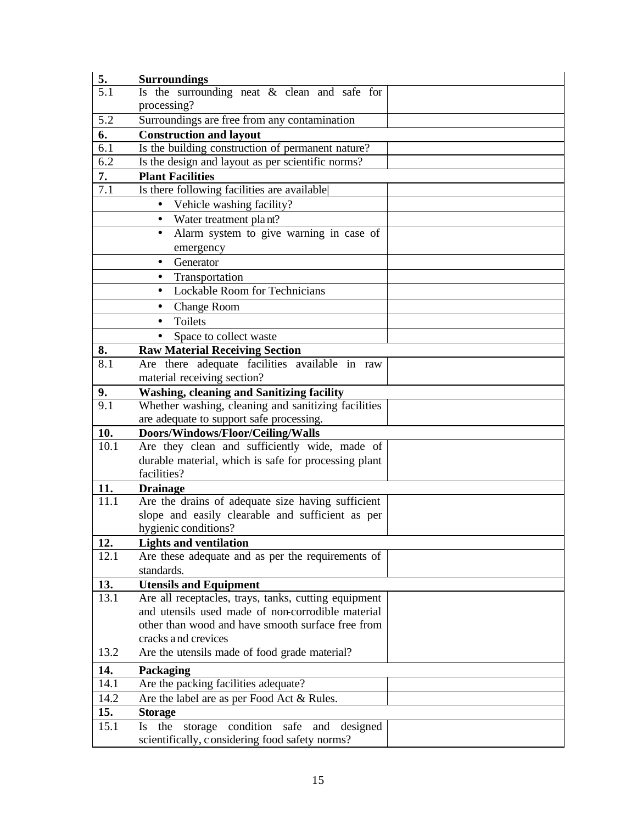| 5.                     | <b>Surroundings</b>                                                          |  |  |  |  |  |
|------------------------|------------------------------------------------------------------------------|--|--|--|--|--|
| 5.1                    | Is the surrounding neat $\&$ clean and safe for                              |  |  |  |  |  |
|                        | processing?                                                                  |  |  |  |  |  |
| 5.2                    | Surroundings are free from any contamination                                 |  |  |  |  |  |
| 6.                     | <b>Construction and layout</b>                                               |  |  |  |  |  |
| 6.1                    | Is the building construction of permanent nature?                            |  |  |  |  |  |
| 6.2                    | Is the design and layout as per scientific norms?                            |  |  |  |  |  |
| 7.                     | <b>Plant Facilities</b>                                                      |  |  |  |  |  |
| 7.1                    | Is there following facilities are available                                  |  |  |  |  |  |
|                        | Vehicle washing facility?                                                    |  |  |  |  |  |
|                        | $\bullet$ Water treatment plant?                                             |  |  |  |  |  |
|                        | Alarm system to give warning in case of<br>$\bullet$                         |  |  |  |  |  |
|                        | emergency                                                                    |  |  |  |  |  |
|                        | Generator<br>$\bullet$                                                       |  |  |  |  |  |
|                        | Transportation<br>$\bullet$                                                  |  |  |  |  |  |
|                        | <b>Lockable Room for Technicians</b><br>$\bullet$                            |  |  |  |  |  |
|                        | <b>Change Room</b><br>$\bullet$                                              |  |  |  |  |  |
|                        | Toilets                                                                      |  |  |  |  |  |
|                        |                                                                              |  |  |  |  |  |
|                        | Space to collect waste<br>$\bullet$<br><b>Raw Material Receiving Section</b> |  |  |  |  |  |
| 8.<br>8.1              | Are there adequate facilities available in raw                               |  |  |  |  |  |
|                        | material receiving section?                                                  |  |  |  |  |  |
|                        | <b>Washing, cleaning and Sanitizing facility</b>                             |  |  |  |  |  |
| 9.<br>$\overline{9.1}$ | Whether washing, cleaning and sanitizing facilities                          |  |  |  |  |  |
|                        | are adequate to support safe processing.                                     |  |  |  |  |  |
| 10.                    | Doors/Windows/Floor/Ceiling/Walls                                            |  |  |  |  |  |
| 10.1                   | Are they clean and sufficiently wide, made of                                |  |  |  |  |  |
|                        | durable material, which is safe for processing plant                         |  |  |  |  |  |
|                        | facilities?                                                                  |  |  |  |  |  |
| 11.                    | <b>Drainage</b>                                                              |  |  |  |  |  |
| 11.1                   | Are the drains of adequate size having sufficient                            |  |  |  |  |  |
|                        | slope and easily clearable and sufficient as per                             |  |  |  |  |  |
|                        | hygienic conditions?                                                         |  |  |  |  |  |
| 12.                    | <b>Lights and ventilation</b>                                                |  |  |  |  |  |
| 12.1                   | Are these adequate and as per the requirements of                            |  |  |  |  |  |
|                        | standards.                                                                   |  |  |  |  |  |
| 13.                    | <b>Utensils and Equipment</b>                                                |  |  |  |  |  |
| 13.1                   | Are all receptacles, trays, tanks, cutting equipment                         |  |  |  |  |  |
|                        | and utensils used made of non-corrodible material                            |  |  |  |  |  |
|                        | other than wood and have smooth surface free from                            |  |  |  |  |  |
|                        | cracks and crevices                                                          |  |  |  |  |  |
| 13.2                   | Are the utensils made of food grade material?                                |  |  |  |  |  |
| 14.                    | Packaging                                                                    |  |  |  |  |  |
| 14.1                   | Are the packing facilities adequate?                                         |  |  |  |  |  |
| 14.2                   | Are the label are as per Food Act & Rules.                                   |  |  |  |  |  |
| 15.                    | <b>Storage</b>                                                               |  |  |  |  |  |
| 15.1                   | condition<br>the<br>safe<br>and<br>storage<br>designed<br><b>Is</b>          |  |  |  |  |  |
|                        | scientifically, considering food safety norms?                               |  |  |  |  |  |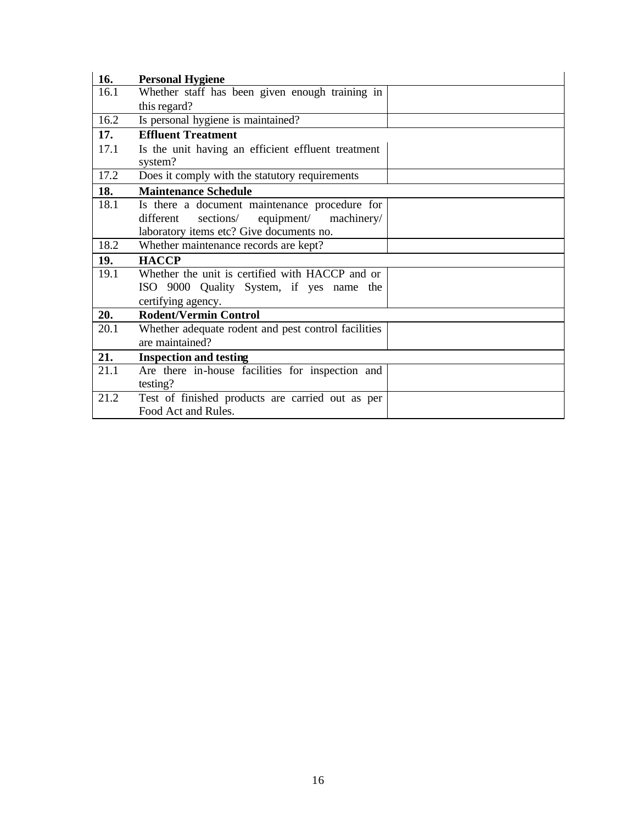| 16.  | <b>Personal Hygiene</b>                                                                                                                         |
|------|-------------------------------------------------------------------------------------------------------------------------------------------------|
| 16.1 | Whether staff has been given enough training in                                                                                                 |
|      | this regard?                                                                                                                                    |
| 16.2 | Is personal hygiene is maintained?                                                                                                              |
| 17.  | <b>Effluent Treatment</b>                                                                                                                       |
| 17.1 | Is the unit having an efficient effluent treatment<br>system?                                                                                   |
| 17.2 | Does it comply with the statutory requirements                                                                                                  |
| 18.  | <b>Maintenance Schedule</b>                                                                                                                     |
| 18.1 | Is there a document maintenance procedure for<br>equipment/<br>sections/<br>machinery/<br>different<br>laboratory items etc? Give documents no. |
| 18.2 | Whether maintenance records are kept?                                                                                                           |
| 19.  | <b>HACCP</b>                                                                                                                                    |
| 19.1 | Whether the unit is certified with HACCP and or                                                                                                 |
|      | ISO 9000 Quality System, if yes name the                                                                                                        |
|      | certifying agency.                                                                                                                              |
| 20.  | <b>Rodent/Vermin Control</b>                                                                                                                    |
| 20.1 | Whether adequate rodent and pest control facilities<br>are maintained?                                                                          |
| 21.  | <b>Inspection and testing</b>                                                                                                                   |
| 21.1 | Are there in-house facilities for inspection and<br>testing?                                                                                    |
| 21.2 | Test of finished products are carried out as per<br>Food Act and Rules.                                                                         |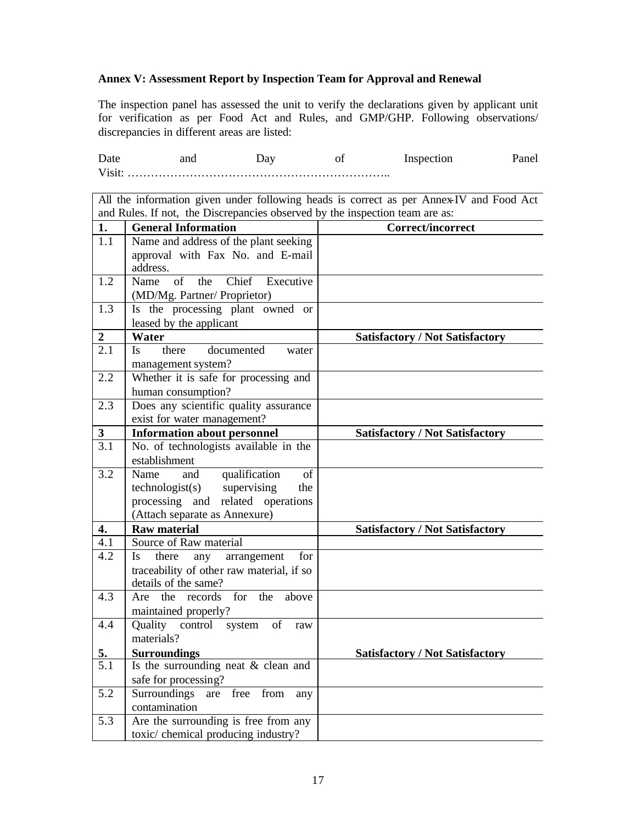### **Annex V: Assessment Report by Inspection Team for Approval and Renewal**

The inspection panel has assessed the unit to verify the declarations given by applicant unit for verification as per Food Act and Rules, and GMP/GHP. Following observations/ discrepancies in different areas are listed:

Date and Day of Inspection Panel Visit: …………………………………………………………..

All the information given under following heads is correct as per Annex-IV and Food Act and Rules. If not, the Discrepancies observed by the inspection team are as:

| 1.               | <b>General Information</b>                                             | Correct/incorrect                      |
|------------------|------------------------------------------------------------------------|----------------------------------------|
| 1.1              | Name and address of the plant seeking                                  |                                        |
|                  | approval with Fax No. and E-mail                                       |                                        |
|                  | address.                                                               |                                        |
| 1.2              | Executive<br>of<br>the<br>Chief<br>Name                                |                                        |
|                  | (MD/Mg. Partner/ Proprietor)                                           |                                        |
| 1.3              | Is the processing plant owned or                                       |                                        |
|                  | leased by the applicant                                                |                                        |
| $\overline{2}$   | Water                                                                  | <b>Satisfactory / Not Satisfactory</b> |
| 2.1              | Is.<br>there<br>documented<br>water                                    |                                        |
|                  | management system?                                                     |                                        |
| 2.2              | Whether it is safe for processing and                                  |                                        |
|                  | human consumption?                                                     |                                        |
| 2.3              | Does any scientific quality assurance                                  |                                        |
|                  | exist for water management?                                            |                                        |
| $\mathbf{3}$     | <b>Information about personnel</b>                                     | <b>Satisfactory / Not Satisfactory</b> |
| $\overline{3.1}$ | No. of technologists available in the                                  |                                        |
|                  | establishment                                                          |                                        |
| 3.2              | qualification<br>Name<br>and<br>of                                     |                                        |
|                  | technologist(s)<br>supervising<br>the                                  |                                        |
|                  | processing and related operations<br>(Attach separate as Annexure)     |                                        |
| 4.               | <b>Raw material</b>                                                    |                                        |
| 4.1              | Source of Raw material                                                 | <b>Satisfactory / Not Satisfactory</b> |
| 4.2              | Is<br>there                                                            |                                        |
|                  | arrangement<br>any<br>for<br>traceability of other raw material, if so |                                        |
|                  | details of the same?                                                   |                                        |
| 4.3              | for<br>the records<br>the<br>above<br>Are                              |                                        |
|                  | maintained properly?                                                   |                                        |
| 4.4              | Quality<br>control<br>system<br>of<br>raw                              |                                        |
|                  | materials?                                                             |                                        |
| <u>5.</u>        | <b>Surroundings</b>                                                    | <b>Satisfactory / Not Satisfactory</b> |
| $\overline{5}.1$ | Is the surrounding neat & clean and                                    |                                        |
|                  | safe for processing?                                                   |                                        |
| $\overline{5.2}$ | Surroundings are free from<br>any                                      |                                        |
|                  | contamination                                                          |                                        |
| 5.3              | Are the surrounding is free from any                                   |                                        |
|                  | toxic/ chemical producing industry?                                    |                                        |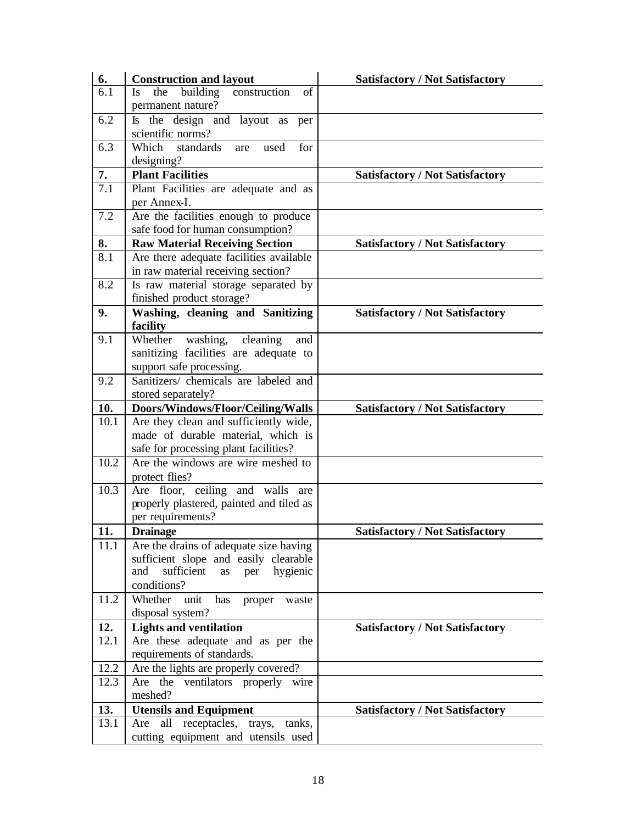| 6.   | <b>Construction and layout</b>                            | <b>Satisfactory / Not Satisfactory</b> |
|------|-----------------------------------------------------------|----------------------------------------|
| 6.1  | building<br>of<br>construction<br>the<br>Is.              |                                        |
|      | permanent nature?                                         |                                        |
| 6.2  | Is the design and layout as<br>per                        |                                        |
|      | scientific norms?                                         |                                        |
| 6.3  | Which<br>standards<br>for<br>used<br>are                  |                                        |
|      | designing?                                                |                                        |
| 7.   | <b>Plant Facilities</b>                                   | <b>Satisfactory / Not Satisfactory</b> |
| 7.1  | Plant Facilities are adequate and as<br>per Annex-I.      |                                        |
| 7.2  | Are the facilities enough to produce                      |                                        |
|      | safe food for human consumption?                          |                                        |
| 8.   | <b>Raw Material Receiving Section</b>                     | <b>Satisfactory / Not Satisfactory</b> |
| 8.1  | Are there adequate facilities available                   |                                        |
|      | in raw material receiving section?                        |                                        |
| 8.2  | Is raw material storage separated by                      |                                        |
|      | finished product storage?                                 |                                        |
| 9.   | Washing, cleaning and Sanitizing                          | <b>Satisfactory / Not Satisfactory</b> |
|      | facility                                                  |                                        |
| 9.1  | washing,<br>Whether<br>cleaning<br>and                    |                                        |
|      | sanitizing facilities are adequate to                     |                                        |
|      | support safe processing.                                  |                                        |
| 9.2  | Sanitizers/ chemicals are labeled and                     |                                        |
| 10.  | stored separately?<br>Doors/Windows/Floor/Ceiling/Walls   |                                        |
| 10.1 | Are they clean and sufficiently wide,                     | <b>Satisfactory / Not Satisfactory</b> |
|      | made of durable material, which is                        |                                        |
|      | safe for processing plant facilities?                     |                                        |
| 10.2 | Are the windows are wire meshed to                        |                                        |
|      | protect flies?                                            |                                        |
| 10.3 | Are floor, ceiling and walls<br>are                       |                                        |
|      | properly plastered, painted and tiled as                  |                                        |
|      | per requirements?                                         |                                        |
| 11.  | <b>Drainage</b>                                           | <b>Satisfactory / Not Satisfactory</b> |
| 11.1 | Are the drains of adequate size having                    |                                        |
|      | sufficient slope and easily clearable                     |                                        |
|      | sufficient<br>and<br>hygienic<br>as<br>per<br>conditions? |                                        |
| 11.2 | Whether<br>unit<br>has<br>proper<br>waste                 |                                        |
|      | disposal system?                                          |                                        |
| 12.  | <b>Lights and ventilation</b>                             | <b>Satisfactory / Not Satisfactory</b> |
| 12.1 | Are these adequate and as per the                         |                                        |
|      | requirements of standards.                                |                                        |
| 12.2 | Are the lights are properly covered?                      |                                        |
| 12.3 | Are the ventilators properly wire                         |                                        |
|      | meshed?                                                   |                                        |
| 13.  | <b>Utensils and Equipment</b>                             | <b>Satisfactory / Not Satisfactory</b> |
| 13.1 | all receptacles,<br>Are<br>trays,<br>tanks,               |                                        |
|      | cutting equipment and utensils used                       |                                        |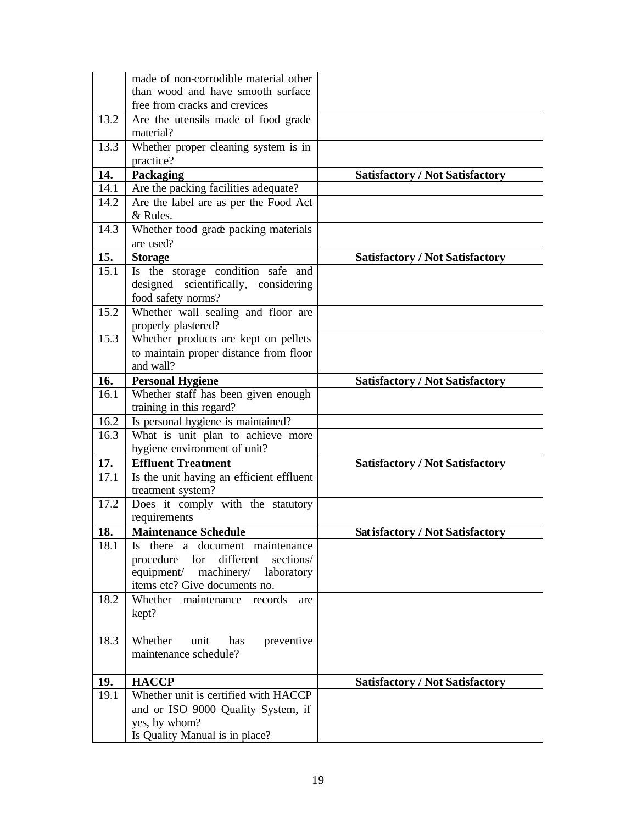|              | made of non-corrodible material other                             |                                         |
|--------------|-------------------------------------------------------------------|-----------------------------------------|
|              | than wood and have smooth surface                                 |                                         |
|              | free from cracks and crevices                                     |                                         |
| 13.2         | Are the utensils made of food grade<br>material?                  |                                         |
| 13.3         | Whether proper cleaning system is in                              |                                         |
|              | practice?                                                         |                                         |
| 14.          | Packaging                                                         | <b>Satisfactory / Not Satisfactory</b>  |
| 14.1         | Are the packing facilities adequate?                              |                                         |
| 14.2         | Are the label are as per the Food Act                             |                                         |
|              | & Rules.                                                          |                                         |
| 14.3         | Whether food grade packing materials                              |                                         |
|              | are used?                                                         |                                         |
| 15.          | <b>Storage</b>                                                    | <b>Satisfactory / Not Satisfactory</b>  |
| 15.1         | Is the storage condition safe and                                 |                                         |
|              | designed scientifically, considering                              |                                         |
|              | food safety norms?                                                |                                         |
| 15.2         | Whether wall sealing and floor are                                |                                         |
|              | properly plastered?                                               |                                         |
| 15.3         | Whether products are kept on pellets                              |                                         |
|              | to maintain proper distance from floor                            |                                         |
|              | and wall?                                                         |                                         |
| 16.          | <b>Personal Hygiene</b>                                           | <b>Satisfactory / Not Satisfactory</b>  |
| 16.1         | Whether staff has been given enough                               |                                         |
|              | training in this regard?                                          |                                         |
| 16.2<br>16.3 | Is personal hygiene is maintained?                                |                                         |
|              | What is unit plan to achieve more<br>hygiene environment of unit? |                                         |
| 17.          | <b>Effluent Treatment</b>                                         | <b>Satisfactory / Not Satisfactory</b>  |
| 17.1         | Is the unit having an efficient effluent                          |                                         |
|              | treatment system?                                                 |                                         |
| 17.2         | Does it comply with the statutory                                 |                                         |
|              | requirements                                                      |                                         |
| 18.          | <b>Maintenance Schedule</b>                                       | <b>Sat isfactory / Not Satisfactory</b> |
| 18.1         | Is there a document maintenance                                   |                                         |
|              | different<br>procedure<br>for<br>sections/                        |                                         |
|              | machinery/ laboratory<br>equipment/                               |                                         |
|              | items etc? Give documents no.                                     |                                         |
| 18.2         | Whether maintenance records<br>are                                |                                         |
|              | kept?                                                             |                                         |
|              |                                                                   |                                         |
| 18.3         | Whether<br>unit<br>has<br>preventive                              |                                         |
|              | maintenance schedule?                                             |                                         |
| 19.          | <b>HACCP</b>                                                      | <b>Satisfactory / Not Satisfactory</b>  |
| 19.1         | Whether unit is certified with HACCP                              |                                         |
|              | and or ISO 9000 Quality System, if                                |                                         |
|              | yes, by whom?                                                     |                                         |
|              | Is Quality Manual is in place?                                    |                                         |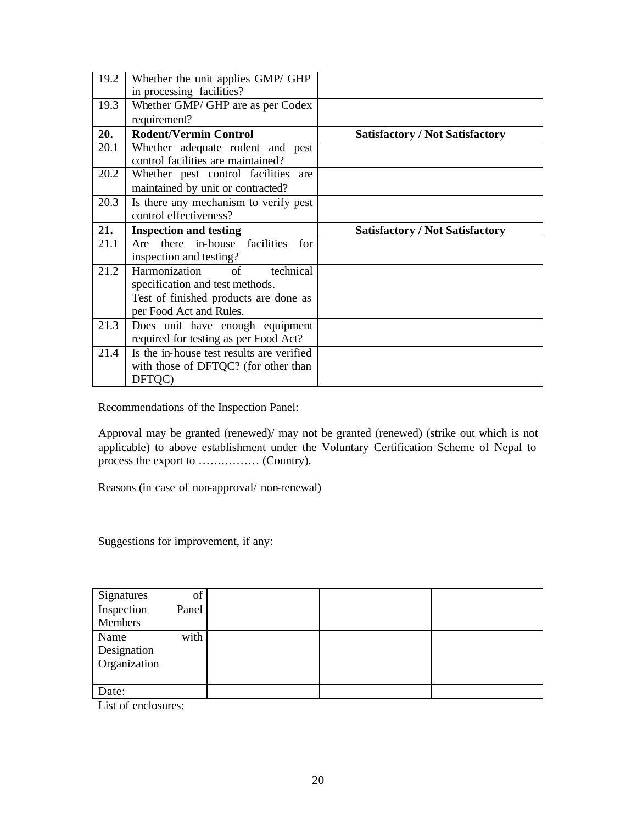| 19.2 | Whether the unit applies GMP/ GHP                                        |                                        |
|------|--------------------------------------------------------------------------|----------------------------------------|
| 19.3 | in processing facilities?<br>Whether GMP/ GHP are as per Codex           |                                        |
|      | requirement?                                                             |                                        |
| 20.  | <b>Rodent/Vermin Control</b>                                             | <b>Satisfactory / Not Satisfactory</b> |
| 20.1 | Whether adequate rodent and pest<br>control facilities are maintained?   |                                        |
| 20.2 | Whether pest control facilities are<br>maintained by unit or contracted? |                                        |
| 20.3 | Is there any mechanism to verify pest<br>control effectiveness?          |                                        |
| 21.  | <b>Inspection and testing</b>                                            | <b>Satisfactory / Not Satisfactory</b> |
| 21.1 | Are there in-house facilities<br>for                                     |                                        |
|      | inspection and testing?                                                  |                                        |
| 21.2 | Harmonization<br>technical<br>of                                         |                                        |
|      | specification and test methods.                                          |                                        |
|      | Test of finished products are done as                                    |                                        |
|      | per Food Act and Rules.                                                  |                                        |
| 21.3 | Does unit have enough equipment                                          |                                        |
|      | required for testing as per Food Act?                                    |                                        |
| 21.4 | Is the in-house test results are verified                                |                                        |
|      | with those of DFTQC? (for other than                                     |                                        |
|      |                                                                          |                                        |

Recommendations of the Inspection Panel:

Approval may be granted (renewed)/ may not be granted (renewed) (strike out which is not applicable) to above establishment under the Voluntary Certification Scheme of Nepal to process the export to …….……… (Country).

Reasons (in case of non-approval/ non-renewal)

Suggestions for improvement, if any:

| Signatures   | of    |  |  |
|--------------|-------|--|--|
| Inspection   | Panel |  |  |
| Members      |       |  |  |
| Name         | with  |  |  |
| Designation  |       |  |  |
| Organization |       |  |  |
|              |       |  |  |
| Date:        |       |  |  |
| $    -$      |       |  |  |

List of enclosures: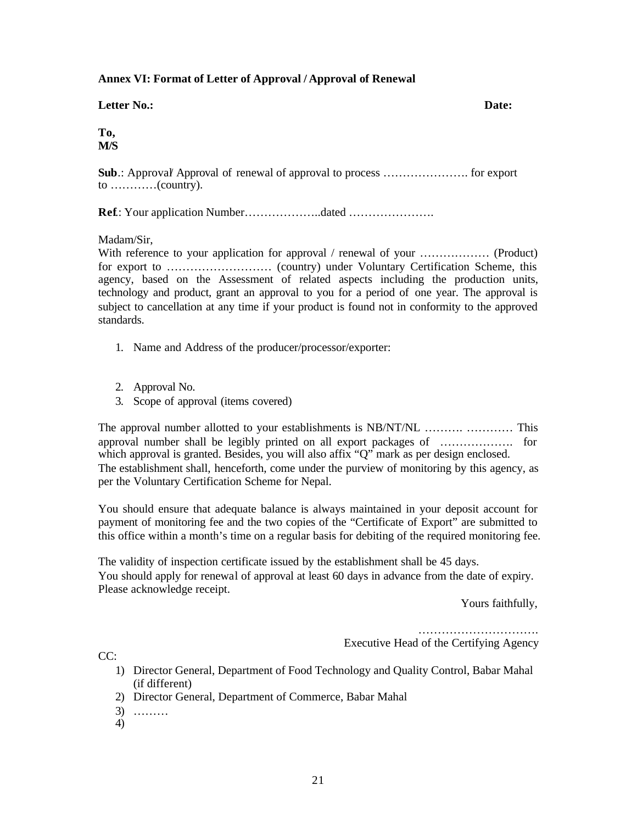### **Annex VI: Format of Letter of Approval / Approval of Renewal**

# **Letter No.: Date:**

**To, M/S**

**Sub**.: Approval/ Approval of renewal of approval to process …………………. for export to …………(country).

**Ref**.: Your application Number………………..dated ………………….

Madam/Sir,

With reference to your application for approval / renewal of your ……………… (Product) for export to ……………………… (country) under Voluntary Certification Scheme, this agency, based on the Assessment of related aspects including the production units, technology and product, grant an approval to you for a period of one year. The approval is subject to cancellation at any time if your product is found not in conformity to the approved standards.

- 1. Name and Address of the producer/processor/exporter:
- 2. Approval No.
- 3. Scope of approval (items covered)

The approval number allotted to your establishments is NB/NT/NL ………. ………… This approval number shall be legibly printed on all export packages of ………………. for which approval is granted. Besides, you will also affix "Q" mark as per design enclosed. The establishment shall, henceforth, come under the purview of monitoring by this agency, as per the Voluntary Certification Scheme for Nepal.

You should ensure that adequate balance is always maintained in your deposit account for payment of monitoring fee and the two copies of the "Certificate of Export" are submitted to this office within a month's time on a regular basis for debiting of the required monitoring fee.

The validity of inspection certificate issued by the establishment shall be 45 days. You should apply for renewal of approval at least 60 days in advance from the date of expiry. Please acknowledge receipt.

Yours faithfully,

………………………….

Executive Head of the Certifying Agency

 $CC:$ 

- 1) Director General, Department of Food Technology and Quality Control, Babar Mahal (if different)
- 2) Director General, Department of Commerce, Babar Mahal
- 3) ………
- 4)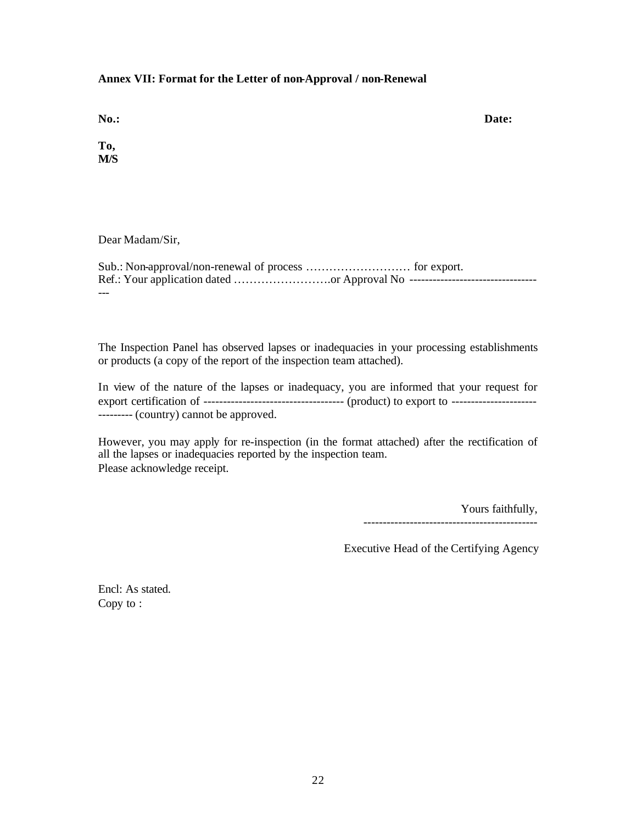### **Annex VII: Format for the Letter of non-Approval / non-Renewal**

**No.: Date:**

**To, M/S**

Dear Madam/Sir,

| Ref.: Your application dated or Approval No ---------------------------------- |  |
|--------------------------------------------------------------------------------|--|
| $- - -$                                                                        |  |

The Inspection Panel has observed lapses or inadequacies in your processing establishments or products (a copy of the report of the inspection team attached).

In view of the nature of the lapses or inadequacy, you are informed that your request for export certification of ------------------------------------ (product) to export to ---------------------- --------- (country) cannot be approved.

However, you may apply for re-inspection (in the format attached) after the rectification of all the lapses or inadequacies reported by the inspection team. Please acknowledge receipt.

> Yours faithfully, ---------------------------------------------

Executive Head of the Certifying Agency

Encl: As stated. Copy to :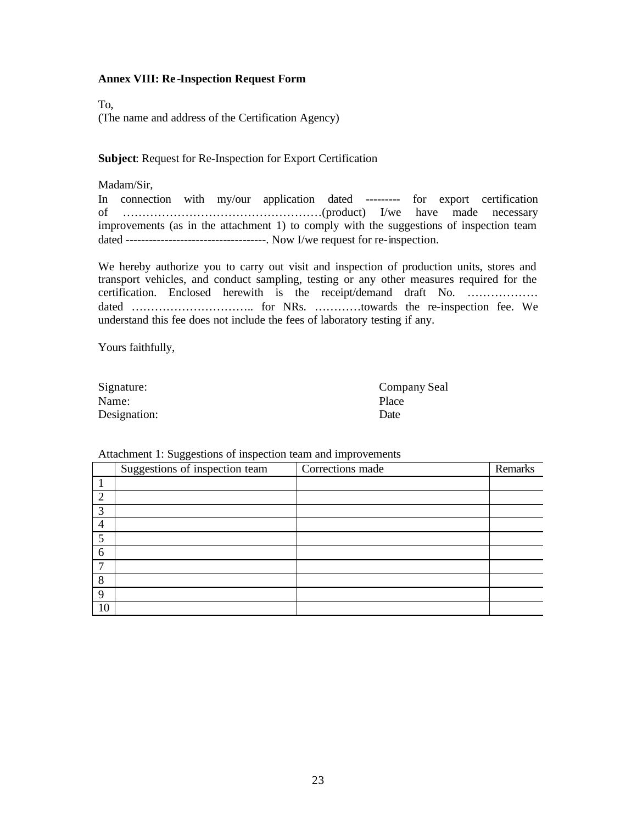### **Annex VIII: Re -Inspection Request Form**

To, (The name and address of the Certification Agency)

**Subject**: Request for Re-Inspection for Export Certification

Madam/Sir,

In connection with my/our application dated --------- for export certification of ……………………………………………(product) I/we have made necessary improvements (as in the attachment 1) to comply with the suggestions of inspection team dated ------------------------------------. Now I/we request for re-inspection.

We hereby authorize you to carry out visit and inspection of production units, stores and transport vehicles, and conduct sampling, testing or any other measures required for the certification. Enclosed herewith is the receipt/demand draft No. ……………… dated …………………………………………………………………towards the re-inspection fee. We understand this fee does not include the fees of laboratory testing if any.

Yours faithfully,

| Signature:   | Com   |
|--------------|-------|
| Name:        | Place |
| Designation: | Date  |

Company Seal

#### Attachment 1: Suggestions of inspection team and improvements

|                | Suggestions of inspection team | Corrections made | Remarks |
|----------------|--------------------------------|------------------|---------|
|                |                                |                  |         |
| 2              |                                |                  |         |
| 3              |                                |                  |         |
| $\overline{4}$ |                                |                  |         |
| 5              |                                |                  |         |
| 6              |                                |                  |         |
| ⇁              |                                |                  |         |
| 8              |                                |                  |         |
| 9              |                                |                  |         |
| 10             |                                |                  |         |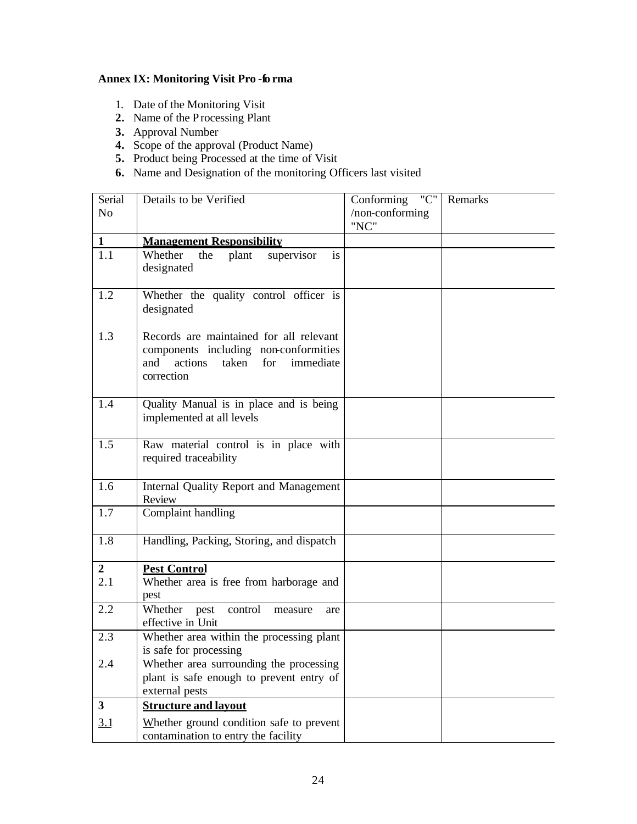# **Annex IX: Monitoring Visit Pro -fo rma**

- 1. Date of the Monitoring Visit
- **2.** Name of the Processing Plant
- **3.** Approval Number
- **4.** Scope of the approval (Product Name)
- **5.** Product being Processed at the time of Visit
- **6.** Name and Designation of the monitoring Officers last visited

| Serial         | Details to be Verified                                                          | $^{\prime\prime}$ C $^{\prime\prime}$<br>Conforming | Remarks |
|----------------|---------------------------------------------------------------------------------|-----------------------------------------------------|---------|
| N <sub>o</sub> |                                                                                 | /non-conforming                                     |         |
| $\mathbf{1}$   | <b>Management Responsibility</b>                                                | "NC"                                                |         |
| 1.1            | Whether<br>supervisor<br>the<br>plant<br>is                                     |                                                     |         |
|                | designated                                                                      |                                                     |         |
|                |                                                                                 |                                                     |         |
| 1.2            | Whether the quality control officer is                                          |                                                     |         |
|                | designated                                                                      |                                                     |         |
| 1.3            | Records are maintained for all relevant                                         |                                                     |         |
|                | components including non-conformities                                           |                                                     |         |
|                | actions<br>taken for<br>and<br>immediate                                        |                                                     |         |
|                | correction                                                                      |                                                     |         |
|                |                                                                                 |                                                     |         |
| 1.4            | Quality Manual is in place and is being                                         |                                                     |         |
|                | implemented at all levels                                                       |                                                     |         |
| 1.5            | Raw material control is in place with                                           |                                                     |         |
|                | required traceability                                                           |                                                     |         |
|                |                                                                                 |                                                     |         |
| 1.6            | <b>Internal Quality Report and Management</b>                                   |                                                     |         |
| 1.7            | Review<br>Complaint handling                                                    |                                                     |         |
|                |                                                                                 |                                                     |         |
| 1.8            | Handling, Packing, Storing, and dispatch                                        |                                                     |         |
|                |                                                                                 |                                                     |         |
| $\overline{2}$ | <b>Pest Control</b>                                                             |                                                     |         |
| 2.1            | Whether area is free from harborage and                                         |                                                     |         |
| 2.2            | pest<br>Whether<br>pest<br>control<br>measure<br>are                            |                                                     |         |
|                | effective in Unit                                                               |                                                     |         |
| 2.3            | Whether area within the processing plant                                        |                                                     |         |
|                | is safe for processing                                                          |                                                     |         |
| 2.4            | Whether area surrounding the processing                                         |                                                     |         |
|                | plant is safe enough to prevent entry of                                        |                                                     |         |
| $\mathbf{3}$   | external pests<br><b>Structure and layout</b>                                   |                                                     |         |
|                |                                                                                 |                                                     |         |
| 3.1            | Whether ground condition safe to prevent<br>contamination to entry the facility |                                                     |         |
|                |                                                                                 |                                                     |         |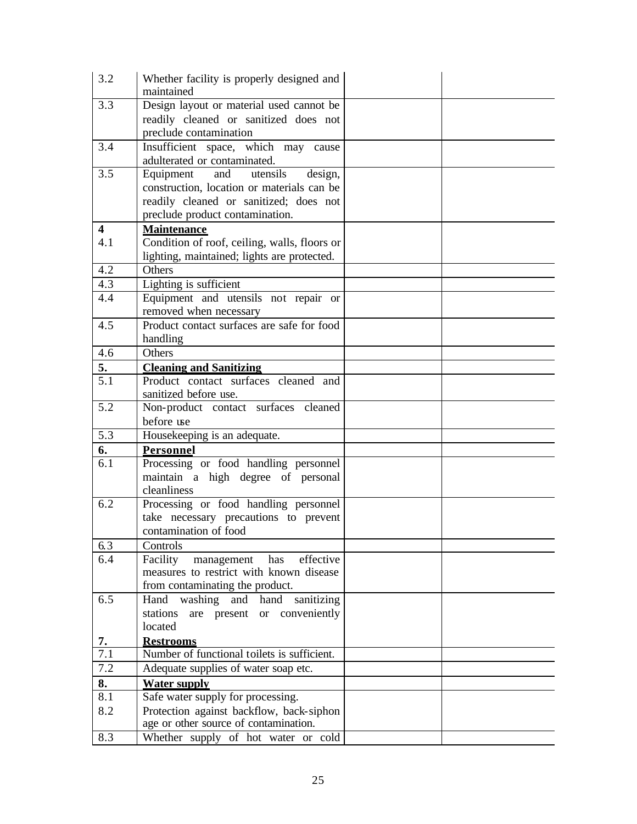| 3.2                     | Whether facility is properly designed and<br>maintained       |  |
|-------------------------|---------------------------------------------------------------|--|
| 3.3                     | Design layout or material used cannot be                      |  |
|                         | readily cleaned or sanitized does not                         |  |
|                         | preclude contamination                                        |  |
| 3.4                     | Insufficient space, which may cause                           |  |
|                         | adulterated or contaminated.                                  |  |
| 3.5                     | Equipment<br>utensils<br>and<br>design,                       |  |
|                         | construction, location or materials can be                    |  |
|                         | readily cleaned or sanitized; does not                        |  |
|                         | preclude product contamination.                               |  |
| $\overline{\mathbf{4}}$ | <b>Maintenance</b>                                            |  |
| 4.1                     | Condition of roof, ceiling, walls, floors or                  |  |
|                         | lighting, maintained; lights are protected.                   |  |
| $\overline{4.2}$        | Others                                                        |  |
| 4.3                     | Lighting is sufficient                                        |  |
| 4.4                     | Equipment and utensils not repair or                          |  |
|                         | removed when necessary                                        |  |
| 4.5                     | Product contact surfaces are safe for food                    |  |
|                         | handling                                                      |  |
| 4.6                     | Others                                                        |  |
| 5.                      | <b>Cleaning and Sanitizing</b>                                |  |
| 5.1                     | Product contact surfaces cleaned and                          |  |
| $\overline{5.2}$        | sanitized before use.<br>Non-product contact surfaces cleaned |  |
|                         | before use                                                    |  |
| 5.3                     | Housekeeping is an adequate.                                  |  |
| 6.                      | Personnel                                                     |  |
| 6.1                     | Processing or food handling personnel                         |  |
|                         | maintain a high degree of personal                            |  |
|                         | cleanliness                                                   |  |
| 6.2                     | Processing or food handling personnel                         |  |
|                         | take necessary precautions to prevent                         |  |
|                         | contamination of food                                         |  |
| 6.3                     | Controls                                                      |  |
| 6.4                     | Facility<br>effective<br>management<br>has                    |  |
|                         | measures to restrict with known disease                       |  |
|                         | from contaminating the product.                               |  |
| 6.5                     | Hand washing and hand<br>sanitizing                           |  |
|                         | stations are present or conveniently                          |  |
|                         | located                                                       |  |
| 7.                      | <b>Restrooms</b>                                              |  |
| 7.1                     | Number of functional toilets is sufficient.                   |  |
| 7.2                     | Adequate supplies of water soap etc.                          |  |
| 8.                      | <b>Water supply</b>                                           |  |
| 8.1                     | Safe water supply for processing.                             |  |
| 8.2                     | Protection against backflow, back-siphon                      |  |
|                         | age or other source of contamination.                         |  |
| 8.3                     | Whether supply of hot water or cold                           |  |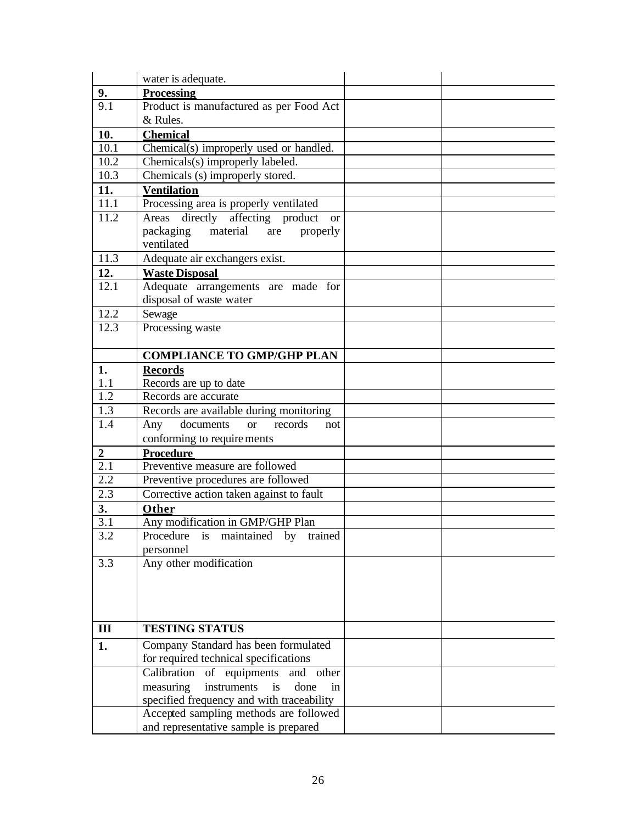|                         | water is adequate.                                              |  |  |
|-------------------------|-----------------------------------------------------------------|--|--|
| 9.                      | Processing                                                      |  |  |
| 9.1                     | Product is manufactured as per Food Act                         |  |  |
|                         | & Rules.                                                        |  |  |
| 10.                     | <b>Chemical</b>                                                 |  |  |
| 10.1                    | Chemical(s) improperly used or handled.                         |  |  |
| 10.2                    | Chemicals(s) improperly labeled.                                |  |  |
| 10.3                    | Chemicals (s) improperly stored.                                |  |  |
| 11.                     | <b>Ventilation</b>                                              |  |  |
| 11.1                    | Processing area is properly ventilated                          |  |  |
| 11.2                    | directly affecting product<br>Areas<br><b>or</b>                |  |  |
|                         | packaging<br>material<br>are<br>properly                        |  |  |
|                         | ventilated                                                      |  |  |
| 11.3                    | Adequate air exchangers exist.                                  |  |  |
| 12.                     | <b>Waste Disposal</b>                                           |  |  |
| 12.1                    | Adequate arrangements are made for                              |  |  |
|                         | disposal of waste water                                         |  |  |
| 12.2                    | Sewage                                                          |  |  |
| 12.3                    | Processing waste                                                |  |  |
|                         |                                                                 |  |  |
|                         | <b>COMPLIANCE TO GMP/GHP PLAN</b>                               |  |  |
| 1.                      | <b>Records</b>                                                  |  |  |
| 1.1<br>1.2              | Records are up to date                                          |  |  |
| 1.3                     | Records are accurate                                            |  |  |
| 1.4                     | Records are available during monitoring<br>documents<br>records |  |  |
|                         | Any<br><sub>or</sub><br>not<br>conforming to requirements       |  |  |
|                         | <b>Procedure</b>                                                |  |  |
| $\boldsymbol{2}$<br>2.1 | Preventive measure are followed                                 |  |  |
| 2.2                     | Preventive procedures are followed                              |  |  |
| 2.3                     | Corrective action taken against to fault                        |  |  |
| 3.                      | Other                                                           |  |  |
| 3.1                     | Any modification in GMP/GHP Plan                                |  |  |
| 3.2                     | Procedure is maintained by trained                              |  |  |
|                         | personnel                                                       |  |  |
| 3.3                     | Any other modification                                          |  |  |
|                         |                                                                 |  |  |
|                         |                                                                 |  |  |
|                         |                                                                 |  |  |
|                         |                                                                 |  |  |
| III                     | <b>TESTING STATUS</b>                                           |  |  |
| 1.                      | Company Standard has been formulated                            |  |  |
|                         | for required technical specifications                           |  |  |
|                         | Calibration<br>of equipments<br>and other                       |  |  |
|                         | instruments<br>measuring<br>is<br>done<br>in                    |  |  |
|                         | specified frequency and with traceability                       |  |  |
|                         | Accepted sampling methods are followed                          |  |  |
|                         | and representative sample is prepared                           |  |  |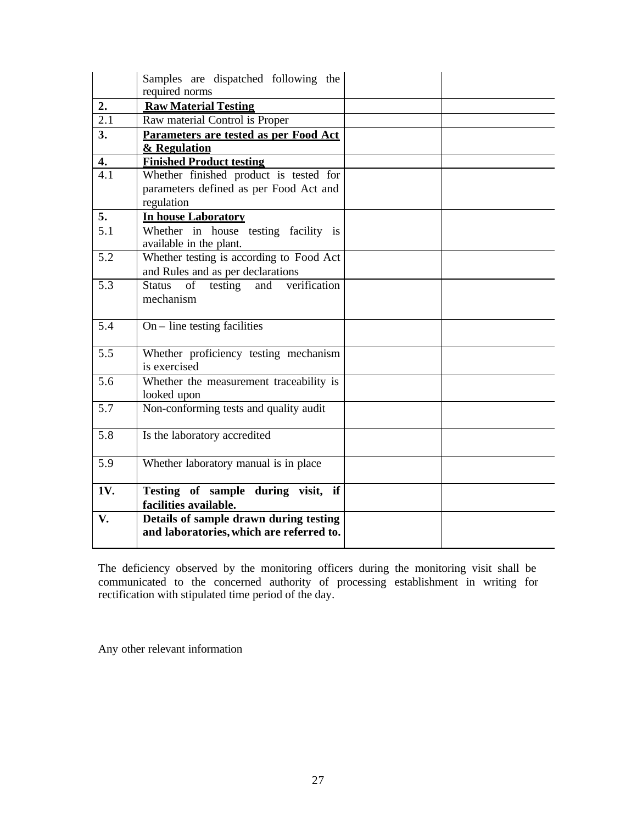|                  | Samples are dispatched following the<br>required norms                                         |  |
|------------------|------------------------------------------------------------------------------------------------|--|
| 2.               | <b>Raw Material Testing</b>                                                                    |  |
| $\overline{2.1}$ | Raw material Control is Proper                                                                 |  |
| 3.               | Parameters are tested as per Food Act<br>& Regulation                                          |  |
| 4.               | <b>Finished Product testing</b>                                                                |  |
| 4.1              | Whether finished product is tested for<br>parameters defined as per Food Act and<br>regulation |  |
| 5.               | <b>In house Laboratory</b>                                                                     |  |
| 5.1              | Whether in house testing facility is<br>available in the plant.                                |  |
| 5.2              | Whether testing is according to Food Act<br>and Rules and as per declarations                  |  |
| $\overline{5.3}$ | Status of testing<br>and verification<br>mechanism                                             |  |
| 5.4              | $On$ – line testing facilities                                                                 |  |
| 5.5              | Whether proficiency testing mechanism<br>is exercised                                          |  |
| 5.6              | Whether the measurement traceability is<br>looked upon                                         |  |
| 5.7              | Non-conforming tests and quality audit                                                         |  |
| 5.8              | Is the laboratory accredited                                                                   |  |
| $\overline{5.9}$ | Whether laboratory manual is in place                                                          |  |
| 1V.              | Testing of sample during visit, if<br>facilities available.                                    |  |
| V.               | Details of sample drawn during testing<br>and laboratories, which are referred to.             |  |

The deficiency observed by the monitoring officers during the monitoring visit shall be communicated to the concerned authority of processing establishment in writing for rectification with stipulated time period of the day.

Any other relevant information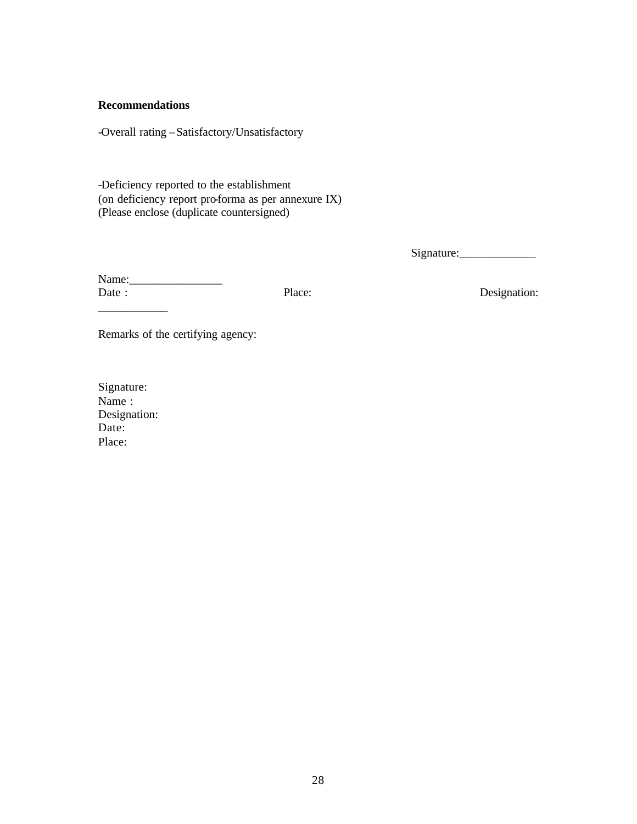## **Recommendations**

-Overall rating –Satisfactory/Unsatisfactory

-Deficiency reported to the establishment (on deficiency report pro-forma as per annexure IX) (Please enclose (duplicate countersigned)

Signature:\_\_\_\_\_\_\_\_\_\_\_\_\_

Name:\_\_\_\_\_\_\_\_\_\_\_\_\_\_\_\_ Date : Place: Place: Designation:

 $\overline{\phantom{a}}$ 

Remarks of the certifying agency:

Signature: Name : Designation: Date: Place: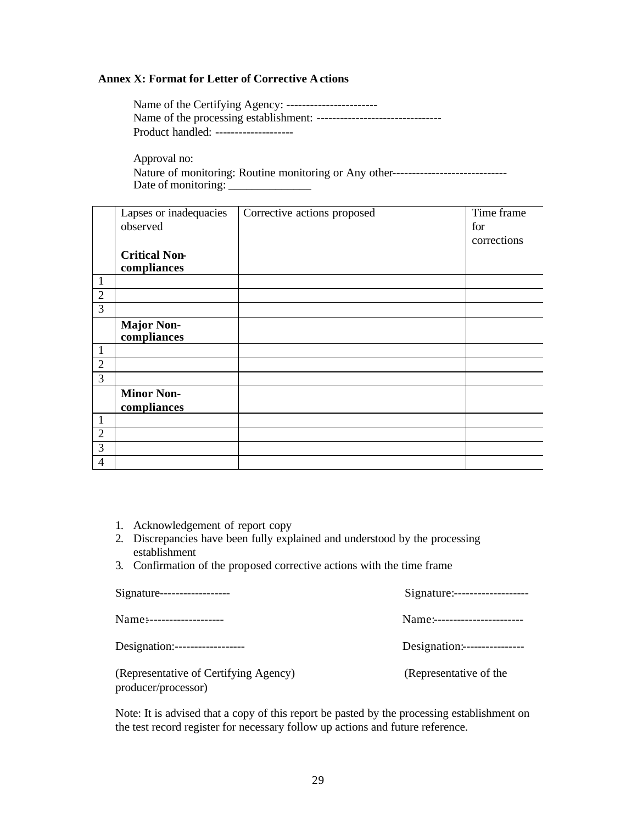# **Annex X: Format for Letter of Corrective Actions**

| Name of the Certifying Agency: ------------------------ |
|---------------------------------------------------------|
|                                                         |
| Product handled: --------------------                   |

Approval no: Nature of monitoring: Routine monitoring or Any other----------------------------------Date of monitoring:

|                | Lapses or inadequacies | Corrective actions proposed | Time frame  |
|----------------|------------------------|-----------------------------|-------------|
|                | observed               |                             | for         |
|                |                        |                             | corrections |
|                | <b>Critical Non-</b>   |                             |             |
|                | compliances            |                             |             |
| 1              |                        |                             |             |
| $\overline{2}$ |                        |                             |             |
| 3              |                        |                             |             |
|                | <b>Major Non-</b>      |                             |             |
|                | compliances            |                             |             |
| 1              |                        |                             |             |
| $\overline{2}$ |                        |                             |             |
| 3              |                        |                             |             |
|                | <b>Minor Non-</b>      |                             |             |
|                | compliances            |                             |             |
|                |                        |                             |             |
| $\overline{2}$ |                        |                             |             |
| 3              |                        |                             |             |
| 4              |                        |                             |             |

- 1. Acknowledgement of report copy
- 2. Discrepancies have been fully explained and understood by the processing establishment
- 3. Confirmation of the proposed corrective actions with the time frame

| Signature------------------                                  |                               |
|--------------------------------------------------------------|-------------------------------|
| Name:--------------------                                    | Name:------------------------ |
|                                                              | Designation:----------------- |
| (Representative of Certifying Agency)<br>producer/processor) | (Representative of the        |

Note: It is advised that a copy of this report be pasted by the processing establishment on the test record register for necessary follow up actions and future reference.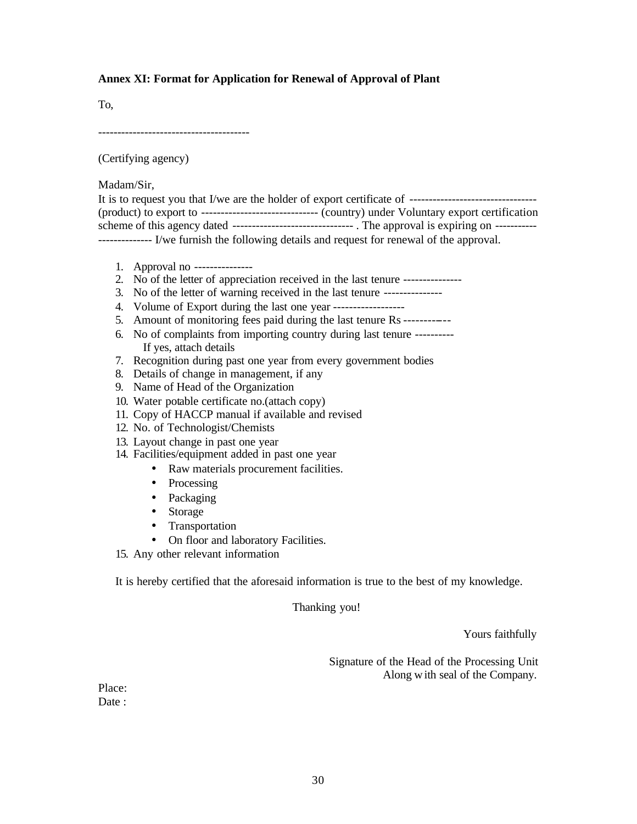## **Annex XI: Format for Application for Renewal of Approval of Plant**

To,

---------------------------------------

(Certifying agency)

Madam/Sir,

| -------------- I/we furnish the following details and request for renewal of the approval. |
|--------------------------------------------------------------------------------------------|

- 1. Approval no ---------------
- 2. No of the letter of appreciation received in the last tenure ----------------
- 3. No of the letter of warning received in the last tenure ---------------
- 4. Volume of Export during the last one year ------------------
- 5. Amount of monitoring fees paid during the last tenure Rs ------------
- 6. No of complaints from importing country during last tenure ---------- If yes, attach details
- 7. Recognition during past one year from every government bodies
- 8. Details of change in management, if any
- 9. Name of Head of the Organization
- 10. Water potable certificate no.(attach copy)
- 11. Copy of HACCP manual if available and revised
- 12. No. of Technologist/Chemists
- 13. Layout change in past one year
- 14. Facilities/equipment added in past one year
	- Raw materials procurement facilities.
	- Processing
	- Packaging
	- Storage
	- Transportation
	- On floor and laboratory Facilities.
- 15. Any other relevant information

It is hereby certified that the aforesaid information is true to the best of my knowledge.

Thanking you!

Yours faithfully

Signature of the Head of the Processing Unit Along w ith seal of the Company.

Place: Date :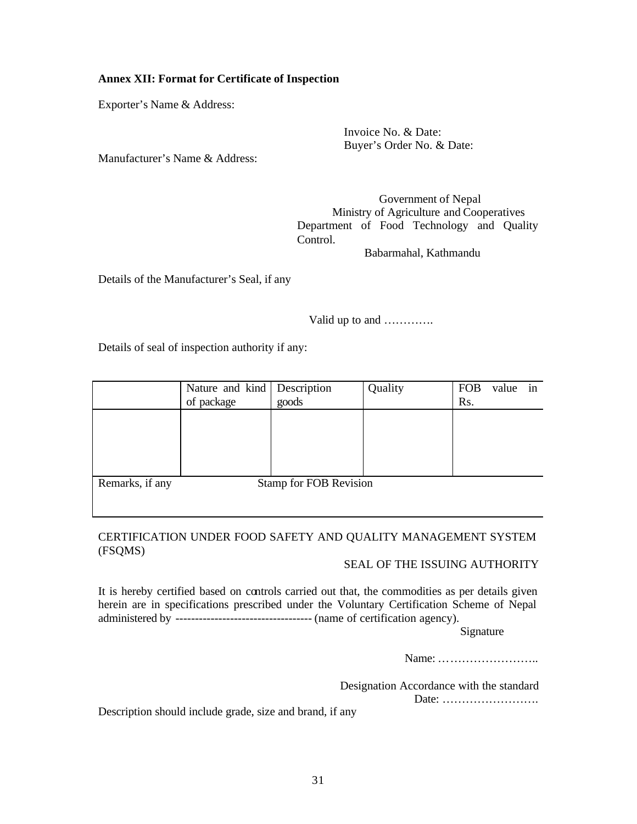# **Annex XII: Format for Certificate of Inspection**

Exporter's Name & Address:

Invoice No. & Date: Buyer's Order No. & Date:

Manufacturer's Name & Address:

Government of Nepal Ministry of Agriculture and Cooperatives Department of Food Technology and Quality Control.

Babarmahal, Kathmandu

Details of the Manufacturer's Seal, if any

Valid up to and ………….

Details of seal of inspection authority if any:

|                 | Nature and kind   Description<br>of package | goods                         | Quality | <b>FOB</b><br>Rs. | value | 1n |
|-----------------|---------------------------------------------|-------------------------------|---------|-------------------|-------|----|
|                 |                                             |                               |         |                   |       |    |
|                 |                                             |                               |         |                   |       |    |
|                 |                                             |                               |         |                   |       |    |
| Remarks, if any |                                             | <b>Stamp for FOB Revision</b> |         |                   |       |    |

# CERTIFICATION UNDER FOOD SAFETY AND QUALITY MANAGEMENT SYSTEM (FSQMS)

# SEAL OF THE ISSUING AUTHORITY

It is hereby certified based on controls carried out that, the commodities as per details given herein are in specifications prescribed under the Voluntary Certification Scheme of Nepal administered by ----------------------------------- (name of certification agency).

Signature

Name: ……………………..

Designation Accordance with the standard

Date: …………………….

Description should include grade, size and brand, if any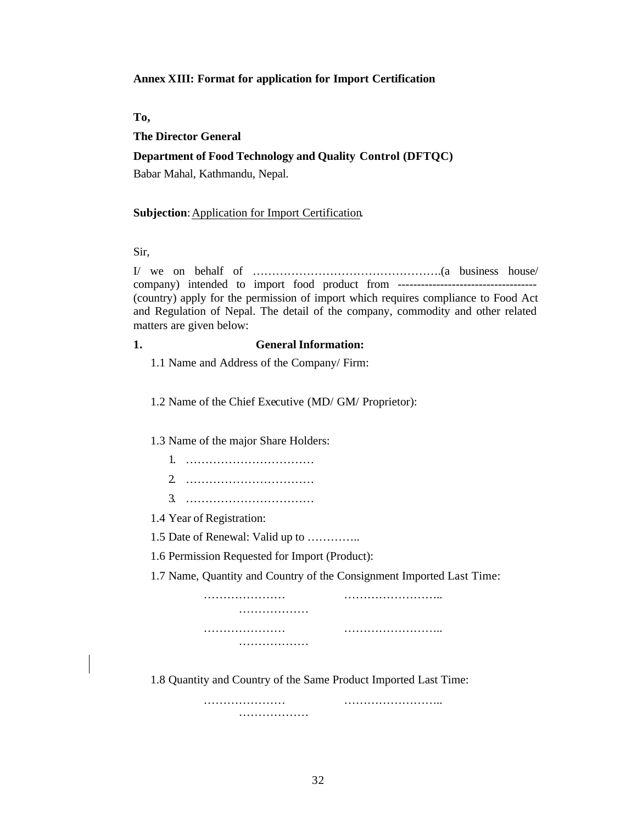### **Annex XIII: Format for application for Import Certification**

**To,**

# **The Director General**

# **Department of Food Technology and Quality Control (DFTQC)**

Babar Mahal, Kathmandu, Nepal.

#### **Subjection**: Application for Import Certification.

Sir,

I/ we on behalf of ………………………………………….(a business house/ company) intended to import food product from ------------------------------------ (country) apply for the permission of import which requires compliance to Food Act and Regulation of Nepal. The detail of the company, commodity and other related matters are given below:

# **1. General Information:**

1.1 Name and Address of the Company/ Firm:

1.2 Name of the Chief Executive (MD/ GM/ Proprietor):

1.3 Name of the major Share Holders:

- 1. …………………………… 2. ……………………………
- 3. ……………………………

1.4 Year of Registration:

1.5 Date of Renewal: Valid up to …………..

1.6 Permission Requested for Import (Product):

…………………

1.7 Name, Quantity and Country of the Consignment Imported Last Time:

………………… …………………….. ………………… ………………… …………………….. ………………

1.8 Quantity and Country of the Same Product Imported Last Time:

………………… ……………………..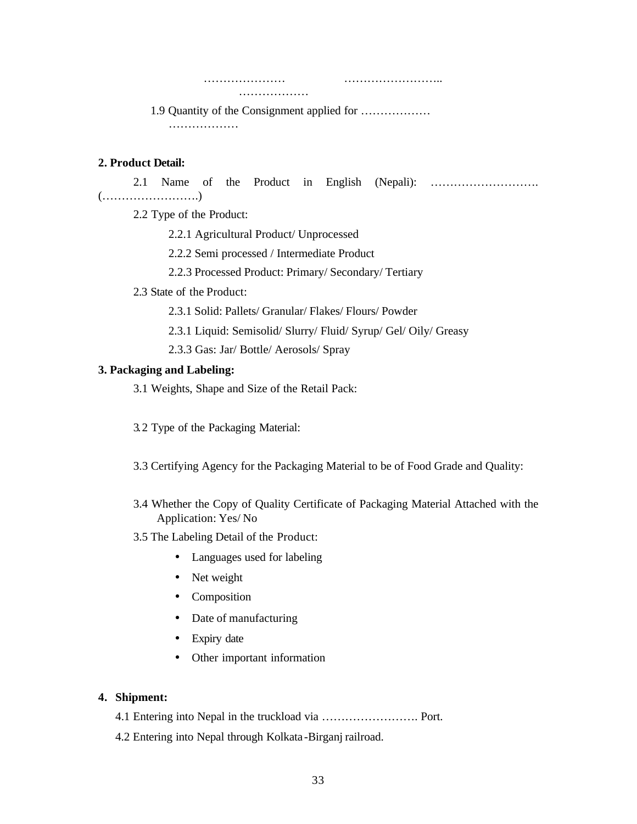………………… …………………….. ………………

1.9 Quantity of the Consignment applied for ……………… …………………

### **2. Product Detail:**

2.1 Name of the Product in English (Nepali): ………………………. (…………………….)

2.2 Type of the Product:

2.2.1 Agricultural Product/ Unprocessed

2.2.2 Semi processed / Intermediate Product

2.2.3 Processed Product: Primary/ Secondary/ Tertiary

# 2.3 State of the Product:

2.3.1 Solid: Pallets/ Granular/ Flakes/ Flours/ Powder

2.3.1 Liquid: Semisolid/ Slurry/ Fluid/ Syrup/ Gel/ Oily/ Greasy

2.3.3 Gas: Jar/ Bottle/ Aerosols/ Spray

# **3. Packaging and Labeling:**

3.1 Weights, Shape and Size of the Retail Pack:

3.2 Type of the Packaging Material:

3.3 Certifying Agency for the Packaging Material to be of Food Grade and Quality:

- 3.4 Whether the Copy of Quality Certificate of Packaging Material Attached with the Application: Yes/ No
- 3.5 The Labeling Detail of the Product:
	- Languages used for labeling
	- Net weight
	- Composition
	- Date of manufacturing
	- Expiry date
	- Other important information

# **4. Shipment:**

4.1 Entering into Nepal in the truckload via ……………………. Port.

4.2 Entering into Nepal through Kolkata -Birganj railroad.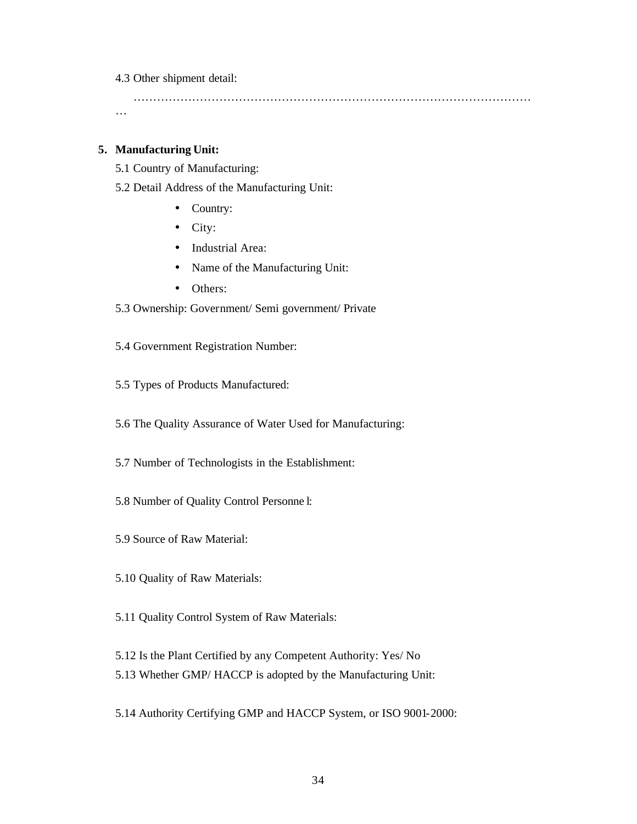4.3 Other shipment detail:

………………………………………………………………………………………… …

### **5. Manufacturing Unit:**

5.1 Country of Manufacturing:

- 5.2 Detail Address of the Manufacturing Unit:
	- Country:
	- City:
	- Industrial Area:
	- Name of the Manufacturing Unit:
	- Others:
- 5.3 Ownership: Government/ Semi government/ Private
- 5.4 Government Registration Number:
- 5.5 Types of Products Manufactured:
- 5.6 The Quality Assurance of Water Used for Manufacturing:
- 5.7 Number of Technologists in the Establishment:
- 5.8 Number of Quality Control Personne l:
- 5.9 Source of Raw Material:
- 5.10 Quality of Raw Materials:
- 5.11 Quality Control System of Raw Materials:
- 5.12 Is the Plant Certified by any Competent Authority: Yes/ No
- 5.13 Whether GMP/ HACCP is adopted by the Manufacturing Unit:
- 5.14 Authority Certifying GMP and HACCP System, or ISO 9001-2000: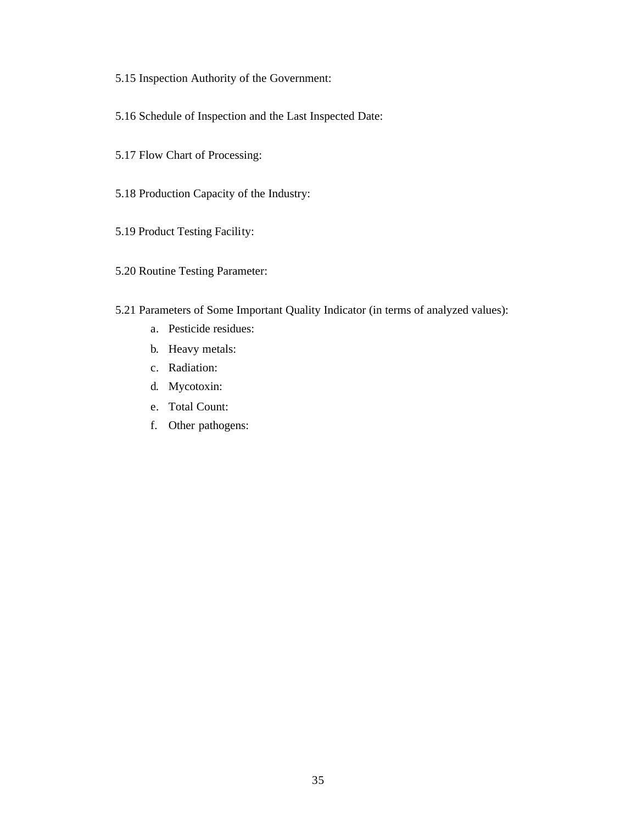- 5.15 Inspection Authority of the Government:
- 5.16 Schedule of Inspection and the Last Inspected Date:
- 5.17 Flow Chart of Processing:
- 5.18 Production Capacity of the Industry:
- 5.19 Product Testing Facility:
- 5.20 Routine Testing Parameter:
- 5.21 Parameters of Some Important Quality Indicator (in terms of analyzed values):
	- a. Pesticide residues:
	- b. Heavy metals:
	- c. Radiation:
	- d. Mycotoxin:
	- e. Total Count:
	- f. Other pathogens: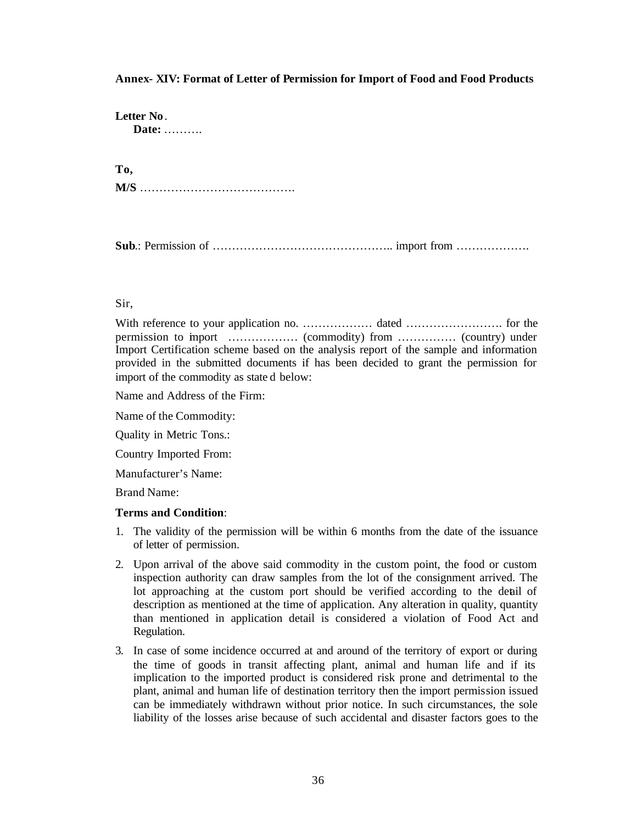### **Annex- XIV: Format of Letter of Permission for Import of Food and Food Products**

**Letter No**. **Date:** ……….

**To,** 

**M/S** ………………………………….

**Sub**.: Permission of ……………………………………….. import from ……………….

### Sir,

With reference to your application no. ……………… dated ……………………. for the permission to import ……………… (commodity) from …………… (country) under Import Certification scheme based on the analysis report of the sample and information provided in the submitted documents if has been decided to grant the permission for import of the commodity as state d below:

Name and Address of the Firm:

Name of the Commodity:

Quality in Metric Tons.:

Country Imported From:

Manufacturer's Name:

Brand Name:

#### **Terms and Condition**:

- 1. The validity of the permission will be within 6 months from the date of the issuance of letter of permission.
- 2. Upon arrival of the above said commodity in the custom point, the food or custom inspection authority can draw samples from the lot of the consignment arrived. The lot approaching at the custom port should be verified according to the detail of description as mentioned at the time of application. Any alteration in quality, quantity than mentioned in application detail is considered a violation of Food Act and Regulation.
- 3. In case of some incidence occurred at and around of the territory of export or during the time of goods in transit affecting plant, animal and human life and if its implication to the imported product is considered risk prone and detrimental to the plant, animal and human life of destination territory then the import permission issued can be immediately withdrawn without prior notice. In such circumstances, the sole liability of the losses arise because of such accidental and disaster factors goes to the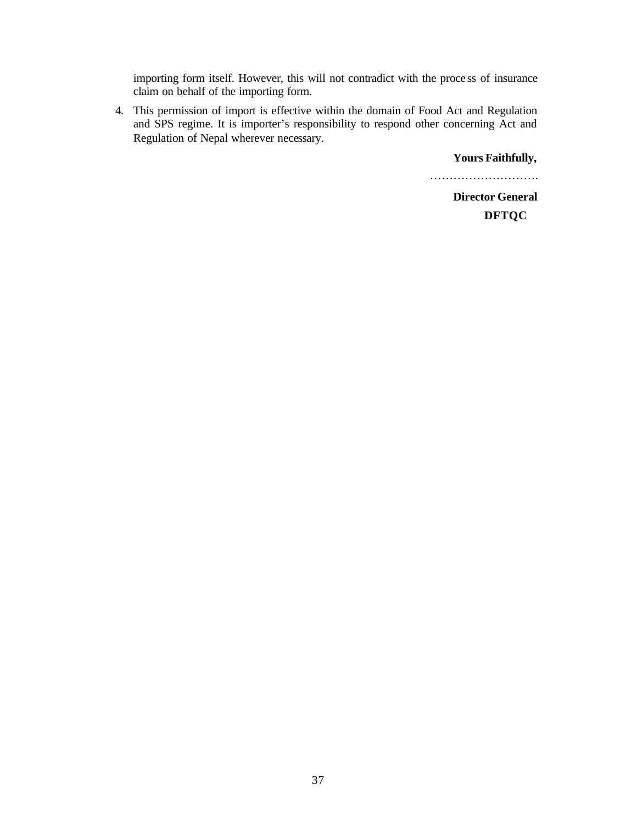importing form itself. However, this will not contradict with the proce ss of insurance claim on behalf of the importing form.

4. This permission of import is effective within the domain of Food Act and Regulation and SPS regime. It is importer's responsibility to respond other concerning Act and Regulation of Nepal wherever necessary.

**Yours Faithfully,**

………………………… **Director General**

**DFTQC**